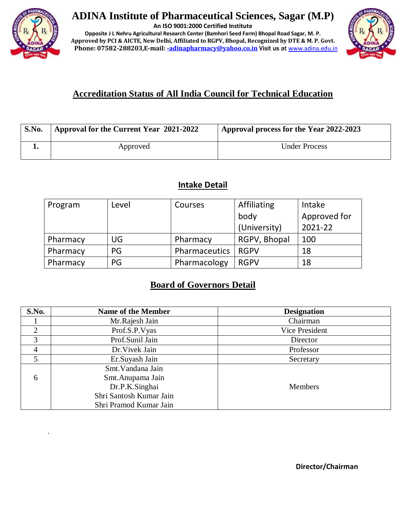

.

# **ADINA Institute of Pharmaceutical Sciences, Sagar (M.P)**

**An ISO 9001:2000 Certified Institute**

**Opposite J L Nehru Agricultural Research Center (Bamhori Seed Farm) Bhopal Road Sagar, M. P. Approved by PCI & AICTE, New Delhi, Affiliated to RGPV, Bhopal, Recognized by DTE & M. P. Govt.** Phone: 07582-288203,E-mail[: -adinapharmacy@yahoo.co.in](mailto:-adinapharmacy@yahoo.co.in) Visit us at [www.adina.edu.in](http://www.adina.edu.in/)



# **Accreditation Status of All India Council for Technical Education**

| S.No. | Approval for the Current Year 2021-2022 | Approval process for the Year 2022-2023 |
|-------|-----------------------------------------|-----------------------------------------|
|       | Approved                                | <b>Under Process</b>                    |

## **Intake Detail**

| Program  | Level | Courses       | Affiliating  | Intake       |
|----------|-------|---------------|--------------|--------------|
|          |       |               | body         | Approved for |
|          |       |               | (University) | 2021-22      |
| Pharmacy | UG    | Pharmacy      | RGPV, Bhopal | 100          |
| Pharmacy | PG    | Pharmaceutics | <b>RGPV</b>  | 18           |
| Pharmacy | PG    | Pharmacology  | <b>RGPV</b>  | 18           |

# **Board of Governors Detail**

| S.No.          | <b>Name of the Member</b> | <b>Designation</b> |
|----------------|---------------------------|--------------------|
|                | Mr.Rajesh Jain            | Chairman           |
| ◠              | Prof.S.P.Vyas             | Vice President     |
| 3              | Prof.Sunil Jain           | Director           |
| $\overline{4}$ | Dr. Vivek Jain            | Professor          |
|                | Er.Suyash Jain            | Secretary          |
|                | Smt. Vandana Jain         |                    |
| 6              | Smt. Anupama Jain         |                    |
|                | Dr.P.K.Singhai            | <b>Members</b>     |
|                | Shri Santosh Kumar Jain   |                    |
|                | Shri Pramod Kumar Jain    |                    |

**Director/Chairman**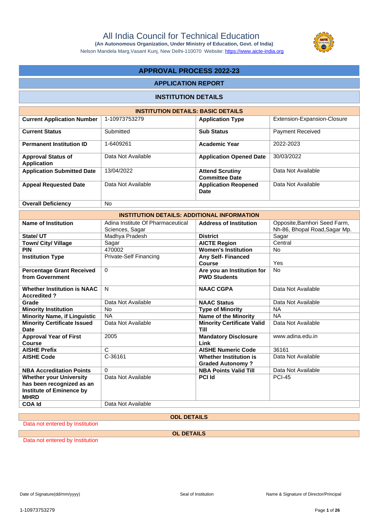Nelson Mandela Marg,Vasant Kunj, New Delhi-110070 Website:<https://www.aicte-india.org>

### **APPROVAL PROCESS 2022-23**

#### **APPLICATION REPORT**

#### **INSTITUTION DETAILS**

| <b>INSTITUTION DETAILS: BASIC DETAILS</b> |                    |                                                 |                             |  |  |  |  |
|-------------------------------------------|--------------------|-------------------------------------------------|-----------------------------|--|--|--|--|
| <b>Current Application Number</b>         | 1-10973753279      | <b>Application Type</b>                         | Extension-Expansion-Closure |  |  |  |  |
| <b>Current Status</b>                     | Submitted          | <b>Sub Status</b>                               | <b>Payment Received</b>     |  |  |  |  |
| <b>Permanent Institution ID</b>           | 1-6409261          | <b>Academic Year</b>                            | 2022-2023                   |  |  |  |  |
| <b>Approval Status of</b><br>Application  | Data Not Available | <b>Application Opened Date</b>                  | 30/03/2022                  |  |  |  |  |
| <b>Application Submitted Date</b>         | 13/04/2022         | <b>Attend Scrutiny</b><br><b>Committee Date</b> | Data Not Available          |  |  |  |  |
| <b>Appeal Requested Date</b>              | Data Not Available | <b>Application Reopened</b><br>Date             | Data Not Available          |  |  |  |  |
| <b>Overall Deficiency</b>                 | <b>No</b>          |                                                 |                             |  |  |  |  |

| <b>INSTITUTION DETAILS: ADDITIONAL INFORMATION</b>                                                     |                                                      |                                                   |                                                               |  |  |  |  |
|--------------------------------------------------------------------------------------------------------|------------------------------------------------------|---------------------------------------------------|---------------------------------------------------------------|--|--|--|--|
| Name of Institution                                                                                    | Adina Institute Of Pharmaceutical<br>Sciences, Sagar | <b>Address of Institution</b>                     | Opposite, Bamhori Seed Farm,<br>Nh-86, Bhopal Road, Sagar Mp. |  |  |  |  |
| State/UT                                                                                               | Madhya Pradesh                                       | <b>District</b>                                   | Sagar                                                         |  |  |  |  |
| <b>Town/ City/ Village</b>                                                                             | Sagar                                                | <b>AICTE Region</b>                               | Central                                                       |  |  |  |  |
| <b>PIN</b>                                                                                             | 470002                                               | <b>Women's Institution</b>                        | No                                                            |  |  |  |  |
| <b>Institution Type</b>                                                                                | Private-Self Financing                               | <b>Any Self- Financed</b><br>Course               | Yes                                                           |  |  |  |  |
| <b>Percentage Grant Received</b><br>from Government                                                    | 0                                                    | Are you an Institution for<br><b>PWD Students</b> | <b>No</b>                                                     |  |  |  |  |
| <b>Whether Institution is NAAC</b><br><b>Accredited?</b>                                               | N                                                    | <b>NAAC CGPA</b>                                  | Data Not Available                                            |  |  |  |  |
| Grade                                                                                                  | Data Not Available                                   | <b>NAAC Status</b>                                | Data Not Available                                            |  |  |  |  |
| <b>Minority Institution</b>                                                                            | <b>No</b>                                            | <b>Type of Minority</b>                           | <b>NA</b>                                                     |  |  |  |  |
| <b>Minority Name, if Linguistic</b>                                                                    | <b>NA</b>                                            | <b>Name of the Minority</b>                       | <b>NA</b>                                                     |  |  |  |  |
| <b>Minority Certificate Issued</b><br><b>Date</b>                                                      | Data Not Available                                   | <b>Minority Certificate Valid</b><br>Till         | Data Not Available                                            |  |  |  |  |
| <b>Approval Year of First</b><br>Course                                                                | 2005                                                 | <b>Mandatory Disclosure</b><br>Link               | www.adina.edu.in                                              |  |  |  |  |
| <b>AISHE Prefix</b>                                                                                    | $\mathsf{C}$                                         | <b>AISHE Numeric Code</b>                         | 36161                                                         |  |  |  |  |
| <b>AISHE Code</b>                                                                                      | C-36161                                              | Whether Institution is<br><b>Graded Autonomy?</b> | Data Not Available                                            |  |  |  |  |
| <b>NBA Accreditation Points</b>                                                                        | $\Omega$                                             | <b>NBA Points Valid Till</b>                      | Data Not Available                                            |  |  |  |  |
| <b>Whether your University</b><br>has been recognized as an<br>Institute of Eminence by<br><b>MHRD</b> | Data Not Available                                   | <b>PCI Id</b>                                     | <b>PCI-45</b>                                                 |  |  |  |  |
| <b>COA Id</b>                                                                                          | Data Not Available                                   |                                                   |                                                               |  |  |  |  |

#### **ODL DETAILS**

Data not entered by Institution

**OL DETAILS**

Data not entered by Institution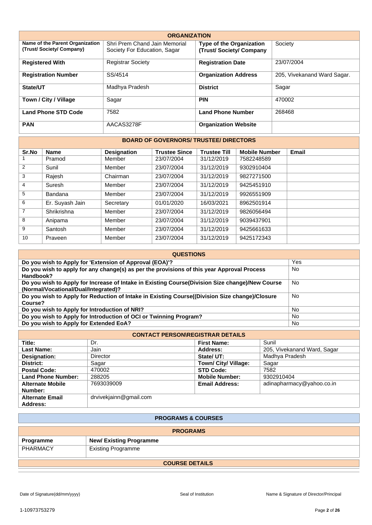| <b>ORGANIZATION</b>                                        |                                                               |                                                            |                             |  |  |  |  |  |
|------------------------------------------------------------|---------------------------------------------------------------|------------------------------------------------------------|-----------------------------|--|--|--|--|--|
| Name of the Parent Organization<br>(Trust/Society/Company) | Shri Prem Chand Jain Memorial<br>Society For Education, Sagar | <b>Type of the Organization</b><br>(Trust/Society/Company) | Society                     |  |  |  |  |  |
| <b>Registered With</b>                                     | <b>Registrar Society</b>                                      | <b>Registration Date</b>                                   | 23/07/2004                  |  |  |  |  |  |
| <b>Registration Number</b>                                 | SS/4514                                                       | <b>Organization Address</b>                                | 205, Vivekanand Ward Sagar. |  |  |  |  |  |
| State/UT                                                   | Madhya Pradesh                                                | <b>District</b>                                            | Sagar                       |  |  |  |  |  |
| Town / City / Village                                      | Sagar                                                         | <b>PIN</b>                                                 | 470002                      |  |  |  |  |  |
| <b>Land Phone STD Code</b>                                 | 7582                                                          | <b>Land Phone Number</b>                                   | 268468                      |  |  |  |  |  |
| <b>PAN</b>                                                 | AACAS3278F                                                    | <b>Organization Website</b>                                |                             |  |  |  |  |  |

#### **BOARD OF GOVERNORS/ TRUSTEE/ DIRECTORS**

| Sr.No          | <b>Name</b>     | <b>Designation</b> | <b>Trustee Since</b> | <b>Trustee Till</b> | <b>Mobile Number</b> | Email |
|----------------|-----------------|--------------------|----------------------|---------------------|----------------------|-------|
|                | Pramod          | Member             | 23/07/2004           | 31/12/2019          | 7582248589           |       |
| 2              | Sunil           | Member             | 23/07/2004           | 31/12/2019          | 9302910404           |       |
| 3              | Rajesh          | Chairman           | 23/07/2004           | 31/12/2019          | 9827271500           |       |
| 4              | Suresh          | Member             | 23/07/2004           | 31/12/2019          | 9425451910           |       |
| 5              | Bandana         | Member             | 23/07/2004           | 31/12/2019          | 9926551909           |       |
| 6              | Er. Suyash Jain | Secretary          | 01/01/2020           | 16/03/2021          | 8962501914           |       |
| $\overline{7}$ | Shrikrishna     | Member             | 23/07/2004           | 31/12/2019          | 9826056494           |       |
| 8              | Anipama         | Member             | 23/07/2004           | 31/12/2019          | 9039437901           |       |
| 9              | Santosh         | Member             | 23/07/2004           | 31/12/2019          | 9425661633           |       |
| 10             | Praveen         | Member             | 23/07/2004           | 31/12/2019          | 9425172343           |       |

| <b>QUESTIONS</b>                                                                                                                        |           |  |  |  |  |
|-----------------------------------------------------------------------------------------------------------------------------------------|-----------|--|--|--|--|
| Do you wish to Apply for 'Extension of Approval (EOA)'?                                                                                 | Yes       |  |  |  |  |
| Do you wish to apply for any change(s) as per the provisions of this year Approval Process<br>Handbook?                                 | No        |  |  |  |  |
| Do you wish to Apply for Increase of Intake in Existing Course(Division Size change)/New Course<br>(Normal/Vocational/Dual/Integrated)? | No        |  |  |  |  |
| Do you wish to Apply for Reduction of Intake in Existing Course((Division Size change)/Closure<br>Course?                               | No        |  |  |  |  |
| Do you wish to Apply for Introduction of NRI?                                                                                           | No        |  |  |  |  |
| Do you wish to Apply for Introduction of OCI or Twinning Program?                                                                       | No        |  |  |  |  |
| Do you wish to Apply for Extended EoA?                                                                                                  | <b>No</b> |  |  |  |  |

| <b>CONTACT PERSON\REGISTRAR DETAILS</b> |                        |                       |                             |  |  |  |
|-----------------------------------------|------------------------|-----------------------|-----------------------------|--|--|--|
| Title:                                  | Dr.                    | <b>First Name:</b>    | Sunil                       |  |  |  |
| Last Name:                              | Jain                   | Address:              | 205, Vivekanand Ward, Sagar |  |  |  |
| Designation:                            | Director               | State/ UT:            | Madhya Pradesh              |  |  |  |
| District:                               | Sagar                  | Town/ City/ Village:  | Sagar                       |  |  |  |
| <b>Postal Code:</b>                     | 470002                 | <b>STD Code:</b>      | 7582                        |  |  |  |
| <b>Land Phone Number:</b>               | 288205                 | <b>Mobile Number:</b> | 9302910404                  |  |  |  |
| <b>Alternate Mobile</b>                 | 7693039009             | <b>Email Address:</b> | adinapharmacy@yahoo.co.in   |  |  |  |
| Number:                                 |                        |                       |                             |  |  |  |
| <b>Alternate Email</b>                  | drvivekjainn@gmail.com |                       |                             |  |  |  |
| Address:                                |                        |                       |                             |  |  |  |

| <b>PROGRAMS &amp; COURSES</b>         |                               |  |  |  |
|---------------------------------------|-------------------------------|--|--|--|
| <b>PROGRAMS</b>                       |                               |  |  |  |
| Programme                             | <b>New/Existing Programme</b> |  |  |  |
| PHARMACY<br><b>Existing Programme</b> |                               |  |  |  |
| <b>COURSE DETAILS</b>                 |                               |  |  |  |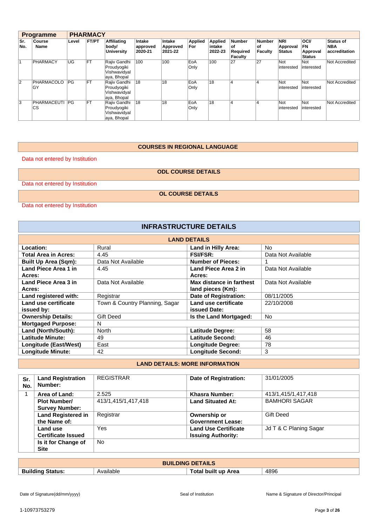| <b>Programme</b> |                   |       | <b>PHARMACY</b> |                                                            |                               |                               |                       |                              |                                                   |                                       |                                         |                                                |                                                 |
|------------------|-------------------|-------|-----------------|------------------------------------------------------------|-------------------------------|-------------------------------|-----------------------|------------------------------|---------------------------------------------------|---------------------------------------|-----------------------------------------|------------------------------------------------|-------------------------------------------------|
| Sr.<br>No.       | Course<br>Name    | Level | <b>FT/PT</b>    | Affiliating<br>body/<br><b>University</b>                  | Intake<br>approved<br>2020-21 | Intake<br>Approved<br>2021-22 | <b>Applied</b><br>For | Applied<br>intake<br>2022-23 | <b>Number</b><br>οf<br>Required<br><b>Faculty</b> | <b>Number</b><br>οf<br><b>Faculty</b> | <b>NRI</b><br>Approval<br><b>Status</b> | <b>OCI/</b><br>FN<br>Approval<br><b>Status</b> | <b>Status of</b><br><b>NBA</b><br>accreditation |
|                  | PHARMACY          | ΙUG   | <b>FT</b>       | Rajiv Gandhi<br>Proudyogiki<br>Vishwavidyal<br>aya, Bhopal | 100                           | 100                           | EoA<br>Only           | 100                          | 27                                                | 27                                    | Not<br>interested                       | Not<br>interested                              | Not Accredited                                  |
| $\overline{2}$   | PHARMACOLO<br>GY  | PG    | <b>FT</b>       | Rajiv Gandhi<br>Proudyogiki<br>Vishwavidyal<br>aya, Bhopal | 18                            | 18                            | EoA<br>Only           | 18                           | 4                                                 |                                       | Not<br>interested                       | Not<br>interested                              | Not Accredited                                  |
| 3                | PHARMACEUTI<br>CS | PG    | <b>FT</b>       | Rajiv Gandhi<br>Proudyogiki<br>Vishwavidyal<br>aya, Bhopal | 18                            | 18                            | EoA<br>Only           | 18                           | 4                                                 | 4                                     | Not<br>interested                       | Not<br>interested                              | Not Accredited                                  |

#### **COURSES IN REGIONAL LANGUAGE**

Data not entered by Institution

**ODL COURSE DETAILS**

Data not entered by Institution

**OL COURSE DETAILS**

Data not entered by Institution

| <b>INFRASTRUCTURE DETAILS</b> |                                |                          |                    |  |  |  |
|-------------------------------|--------------------------------|--------------------------|--------------------|--|--|--|
|                               |                                | <b>LAND DETAILS</b>      |                    |  |  |  |
| Location:                     | Rural                          | Land in Hilly Area:      | N <sub>o</sub>     |  |  |  |
| <b>Total Area in Acres:</b>   | 4.45                           | <b>FSI/FSR:</b>          | Data Not Available |  |  |  |
| <b>Built Up Area (Sqm):</b>   | Data Not Available             | <b>Number of Pieces:</b> |                    |  |  |  |
| Land Piece Area 1 in          | 4.45                           | Land Piece Area 2 in     | Data Not Available |  |  |  |
| Acres:                        |                                | Acres:                   |                    |  |  |  |
| Land Piece Area 3 in          | Data Not Available             | Max distance in farthest | Data Not Available |  |  |  |
| Acres:                        |                                | land pieces (Km):        |                    |  |  |  |
| Land registered with:         | Registrar                      | Date of Registration:    | 08/11/2005         |  |  |  |
| Land use certificate          | Town & Country Planning, Sagar | Land use certificate     | 22/10/2008         |  |  |  |
| issued by:                    |                                | issued Date:             |                    |  |  |  |
| <b>Ownership Details:</b>     | Gift Deed                      | Is the Land Mortgaged:   | <b>No</b>          |  |  |  |
| <b>Mortgaged Purpose:</b>     | N                              |                          |                    |  |  |  |
| Land (North/South):           | North                          | <b>Latitude Degree:</b>  | 58                 |  |  |  |
| Latitude Minute:              | 49                             | Latitude Second:         | 46                 |  |  |  |
| Longitude (East/West)         | East                           | <b>Longitude Degree:</b> | 78                 |  |  |  |
| <b>Longitude Minute:</b>      | 42                             | <b>Longitude Second:</b> | 3                  |  |  |  |

#### **LAND DETAILS: MORE INFORMATION**

| Sr.<br>No. | <b>Land Registration</b><br>Number: | <b>REGISTRAR</b>    | Date of Registration:       | 31/01/2005             |
|------------|-------------------------------------|---------------------|-----------------------------|------------------------|
|            | Area of Land:                       | 2.525               | Khasra Number:              | 413/1,415/1,417,418    |
|            | <b>Plot Number/</b>                 | 413/1,415/1,417,418 | <b>Land Situated At:</b>    | <b>BAMHORI SAGAR</b>   |
|            | <b>Survey Number:</b>               |                     |                             |                        |
|            | <b>Land Registered in</b>           | Registrar           | Ownership or                | <b>Gift Deed</b>       |
|            | the Name of:                        |                     | <b>Government Lease:</b>    |                        |
|            | Land use                            | Yes                 | <b>Land Use Certificate</b> | Jd T & C Planing Sagar |
|            | <b>Certificate Issued</b>           |                     | <b>Issuing Authority:</b>   |                        |
|            | Is it for Change of<br><b>Site</b>  | <b>No</b>           |                             |                        |

| <b>BUILDING DETAILS</b>    |          |                     |      |
|----------------------------|----------|---------------------|------|
| <b>Building</b><br>Status: | wailable | Гotal built up Area | 4896 |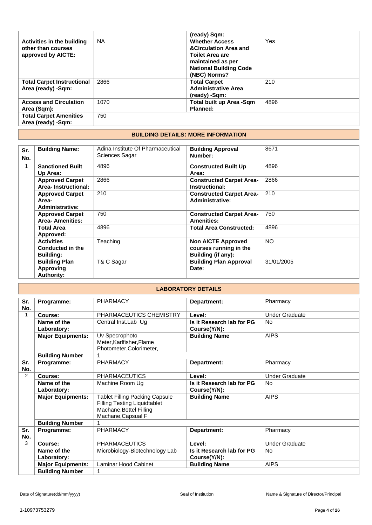|                                   |           | (ready) Sqm:                     |      |
|-----------------------------------|-----------|----------------------------------|------|
| <b>Activities in the building</b> | <b>NA</b> | <b>Whether Access</b>            | Yes  |
| other than courses                |           | <b>&amp;Circulation Area and</b> |      |
| approved by AICTE:                |           | <b>Toilet Area are</b>           |      |
|                                   |           | maintained as per                |      |
|                                   |           | <b>National Building Code</b>    |      |
|                                   |           | (NBC) Norms?                     |      |
| <b>Total Carpet Instructional</b> | 2866      | <b>Total Carpet</b>              | 210  |
| Area (ready) -Sqm:                |           | <b>Administrative Area</b>       |      |
|                                   |           | (ready) -Sqm:                    |      |
| <b>Access and Circulation</b>     | 1070      | Total built up Area -Sqm         | 4896 |
| Area (Sqm):                       |           | Planned:                         |      |
| <b>Total Carpet Amenities</b>     | 750       |                                  |      |
| Area (ready) -Sqm:                |           |                                  |      |

#### **BUILDING DETAILS: MORE INFORMATION**

| Sr.<br>No. | <b>Building Name:</b>                                     | Adina Institute Of Pharmaceutical<br>Sciences Sagar | <b>Building Approval</b><br>Number:                                       | 8671       |
|------------|-----------------------------------------------------------|-----------------------------------------------------|---------------------------------------------------------------------------|------------|
| 1          | <b>Sanctioned Built</b><br>Up Area:                       | 4896                                                | <b>Constructed Built Up</b><br>Area:                                      | 4896       |
|            | <b>Approved Carpet</b><br>Area-Instructional:             | 2866                                                | <b>Constructed Carpet Area-</b><br>Instructional:                         | 2866       |
|            | <b>Approved Carpet</b><br>Area-<br>Administrative:        | 210                                                 | <b>Constructed Carpet Area-</b><br>Administrative:                        | 210        |
|            | <b>Approved Carpet</b><br><b>Area-Amenities:</b>          | 750                                                 | <b>Constructed Carpet Area-</b><br><b>Amenities:</b>                      | 750        |
|            | <b>Total Area</b><br>Approved:                            | 4896                                                | <b>Total Area Constructed:</b>                                            | 4896       |
|            | <b>Activities</b><br>Conducted in the<br><b>Building:</b> | Teaching                                            | <b>Non AICTE Approved</b><br>courses running in the<br>Building (if any): | <b>NO</b>  |
|            | <b>Building Plan</b><br>Approving<br><b>Authority:</b>    | T& C Sagar                                          | <b>Building Plan Approval</b><br>Date:                                    | 31/01/2005 |

| <b>LABORATORY DETAILS</b> |                            |                                                                                                                               |                                           |                       |
|---------------------------|----------------------------|-------------------------------------------------------------------------------------------------------------------------------|-------------------------------------------|-----------------------|
| Sr.<br>No.                | Programme:                 | <b>PHARMACY</b>                                                                                                               | Department:                               | Pharmacy              |
| $\mathbf{1}$              | Course:                    | PHARMACEUTICS CHEMISTRY                                                                                                       | Level:                                    | <b>Under Graduate</b> |
|                           | Name of the<br>Laboratory: | Central Inst.Lab Ug                                                                                                           | Is it Research lab for PG<br>Course(Y/N): | No                    |
|                           | <b>Major Equipments:</b>   | Uv Specrophoto<br>Meter, Karlfisher, Flame<br>Photometer, Colorimeter,                                                        | <b>Building Name</b>                      | <b>AIPS</b>           |
|                           | <b>Building Number</b>     |                                                                                                                               |                                           |                       |
| Sr.<br>No.                | Programme:                 | <b>PHARMACY</b>                                                                                                               | Department:                               | Pharmacy              |
| $\overline{2}$            | Course:                    | <b>PHARMACEUTICS</b>                                                                                                          | Level:                                    | <b>Under Graduate</b> |
|                           | Name of the<br>Laboratory: | Machine Room Ug                                                                                                               | Is it Research lab for PG<br>Course(Y/N): | No                    |
|                           | <b>Major Equipments:</b>   | <b>Tablet Filling Packing Capsule</b><br><b>Filling Testing Liquidtablet</b><br>Machane, Bottel Filling<br>Machane, Capsual F | <b>Building Name</b>                      | <b>AIPS</b>           |
|                           | <b>Building Number</b>     |                                                                                                                               |                                           |                       |
| Sr.<br>No.                | Programme:                 | <b>PHARMACY</b>                                                                                                               | Department:                               | Pharmacy              |
| 3                         | Course:                    | <b>PHARMACEUTICS</b>                                                                                                          | Level:                                    | <b>Under Graduate</b> |
|                           | Name of the<br>Laboratory: | Microbiology-Biotechnology Lab                                                                                                | Is it Research lab for PG<br>Course(Y/N): | No                    |
|                           | <b>Major Equipments:</b>   | <b>Laminar Hood Cabinet</b>                                                                                                   | <b>Building Name</b>                      | <b>AIPS</b>           |
|                           | <b>Building Number</b>     |                                                                                                                               |                                           |                       |

**Building Number**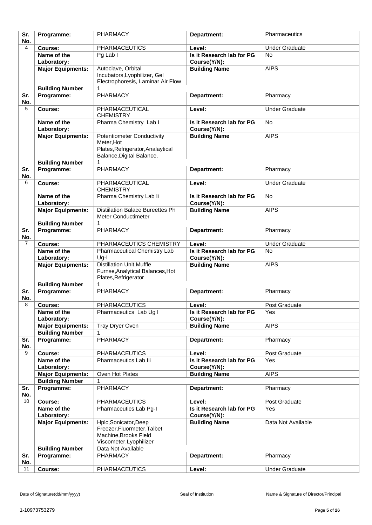| Sr. | Programme:                           | <b>PHARMACY</b>                         | Department:               | Pharmaceutics         |
|-----|--------------------------------------|-----------------------------------------|---------------------------|-----------------------|
| No. |                                      |                                         |                           |                       |
| 4   | Course:                              | <b>PHARMACEUTICS</b>                    | Level:                    | <b>Under Graduate</b> |
|     | Name of the                          | Pg Lab I                                | Is it Research lab for PG | <b>No</b>             |
|     | Laboratory:                          |                                         | Course(Y/N):              |                       |
|     | <b>Major Equipments:</b>             | Autoclave, Orbital                      | <b>Building Name</b>      | <b>AIPS</b>           |
|     |                                      | Incubators, Lyophilizer, Gel            |                           |                       |
|     |                                      | Electrophoresis, Laminar Air Flow       |                           |                       |
|     | <b>Building Number</b>               | 1                                       |                           |                       |
| Sr. | Programme:                           | <b>PHARMACY</b>                         | Department:               | Pharmacy              |
| No. |                                      |                                         |                           |                       |
| 5   | Course:                              | PHARMACEUTICAL                          | Level:                    | <b>Under Graduate</b> |
|     |                                      | <b>CHEMISTRY</b>                        |                           |                       |
|     | Name of the                          | Pharma Chemistry Lab I                  | Is it Research lab for PG | <b>No</b>             |
|     | Laboratory:                          |                                         | Course(Y/N):              |                       |
|     | <b>Major Equipments:</b>             | <b>Potentiometer Conductivity</b>       | <b>Building Name</b>      | <b>AIPS</b>           |
|     |                                      | Meter, Hot                              |                           |                       |
|     |                                      | Plates, Refrigerator, Analaytical       |                           |                       |
|     |                                      | Balance, Digital Balance,               |                           |                       |
|     | <b>Building Number</b>               | 1                                       |                           |                       |
| Sr. | Programme:                           | PHARMACY                                | Department:               | Pharmacy              |
| No. |                                      |                                         |                           |                       |
| 6   | Course:                              | PHARMACEUTICAL                          | Level:                    | <b>Under Graduate</b> |
|     |                                      | <b>CHEMISTRY</b>                        |                           |                       |
|     | Name of the                          | Pharma Chemistry Lab Ii                 | Is it Research lab for PG | No                    |
|     | Laboratory:                          |                                         | Course(Y/N):              |                       |
|     | <b>Major Equipments:</b>             | <b>Distillation Balace Bureettes Ph</b> | <b>Building Name</b>      | <b>AIPS</b>           |
|     |                                      | Meter Conductimeter                     |                           |                       |
|     | <b>Building Number</b>               | 1                                       |                           |                       |
| Sr. | Programme:                           | <b>PHARMACY</b>                         | Department:               | Pharmacy              |
| No. |                                      |                                         |                           |                       |
| 7   | Course:                              | PHARMACEUTICS CHEMISTRY                 | Level:                    | <b>Under Graduate</b> |
|     | Name of the                          | Pharmaceutical Chemistry Lab            | Is it Research lab for PG | <b>No</b>             |
|     | Laboratory:                          | $Ug-I$                                  | Course(Y/N):              |                       |
|     | <b>Major Equipments:</b>             | <b>Distillation Unit, Muffle</b>        | <b>Building Name</b>      | <b>AIPS</b>           |
|     |                                      | Furnse, Analytical Balances, Hot        |                           |                       |
|     |                                      | Plates, Refrigerator<br>1               |                           |                       |
| Sr. | <b>Building Number</b><br>Programme: | PHARMACY                                |                           |                       |
| No. |                                      |                                         | Department:               | Pharmacy              |
| 8   | Course:                              | <b>PHARMACEUTICS</b>                    | Level:                    | Post Graduate         |
|     | Name of the                          | Pharmaceutics Lab Ug I                  | Is it Research lab for PG | Yes                   |
|     | Laboratory:                          |                                         | Course(Y/N):              |                       |
|     | <b>Major Equipments:</b>             | Tray Dryer Oven                         | <b>Building Name</b>      | <b>AIPS</b>           |
|     | <b>Building Number</b>               |                                         |                           |                       |
| Sr. | Programme:                           | PHARMACY                                | Department:               | Pharmacy              |
| No. |                                      |                                         |                           |                       |
| 9   | Course:                              | <b>PHARMACEUTICS</b>                    | Level:                    | Post Graduate         |
|     | Name of the                          | Pharmaceutics Lab lii                   | Is it Research lab for PG | Yes                   |
|     | Laboratory:                          |                                         | Course(Y/N):              |                       |
|     | <b>Major Equipments:</b>             | Oven Hot Plates                         | <b>Building Name</b>      | <b>AIPS</b>           |
|     | <b>Building Number</b>               | 1                                       |                           |                       |
| Sr. | Programme:                           | PHARMACY                                | Department:               | Pharmacy              |
| No. |                                      |                                         |                           |                       |
| 10  | Course:                              | <b>PHARMACEUTICS</b>                    | Level:                    | Post Graduate         |
|     | Name of the                          | Pharmaceutics Lab Pg-I                  | Is it Research lab for PG | Yes                   |
|     | Laboratory:                          |                                         | Course(Y/N):              |                       |
|     | <b>Major Equipments:</b>             | Hplc, Sonicator, Deep                   | <b>Building Name</b>      | Data Not Available    |
|     |                                      | Freezer, Fluormeter, Talbet             |                           |                       |
|     |                                      | Machine, Brooks Field                   |                           |                       |
|     |                                      | Viscometer, Lyophilizer                 |                           |                       |
|     | <b>Building Number</b>               | Data Not Available                      |                           |                       |
| Sr. | Programme:                           | PHARMACY                                | Department:               | Pharmacy              |
| No. |                                      |                                         |                           |                       |
| 11  | Course:                              | <b>PHARMACEUTICS</b>                    | Level:                    | <b>Under Graduate</b> |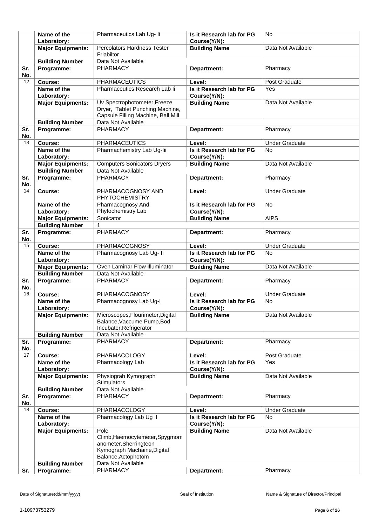|            | Name of the                                        | Pharmaceutics Lab Ug- li                                                                                       | Is it Research lab for PG                 | No.                   |
|------------|----------------------------------------------------|----------------------------------------------------------------------------------------------------------------|-------------------------------------------|-----------------------|
|            | Laboratory:                                        |                                                                                                                | Course(Y/N):                              |                       |
|            | <b>Major Equipments:</b>                           | Percolators Hardness Tester<br>Friabiltor                                                                      | <b>Building Name</b>                      | Data Not Available    |
|            | <b>Building Number</b>                             | Data Not Available                                                                                             |                                           |                       |
| Sr.<br>No. | Programme:                                         | <b>PHARMACY</b>                                                                                                | Department:                               | Pharmacy              |
| 12         | Course:                                            | <b>PHARMACEUTICS</b>                                                                                           | Level:                                    | Post Graduate         |
|            | Name of the                                        | Pharmaceutics Research Lab li                                                                                  | Is it Research lab for PG                 | Yes                   |
|            | Laboratory:                                        |                                                                                                                | Course(Y/N):                              |                       |
|            | <b>Major Equipments:</b>                           | Uv Spectrophotometer, Freeze<br>Dryer, Tablet Punching Machine,<br>Capsule Filling Machine, Ball Mill          | <b>Building Name</b>                      | Data Not Available    |
|            | <b>Building Number</b>                             | Data Not Available                                                                                             |                                           |                       |
| Sr.<br>No. | Programme:                                         | <b>PHARMACY</b>                                                                                                | Department:                               | Pharmacy              |
| 13         | Course:                                            | <b>PHARMACEUTICS</b>                                                                                           | Level:                                    | <b>Under Graduate</b> |
|            | Name of the<br>Laboratory:                         | Pharmachemistry Lab Ug-lii                                                                                     | Is it Research lab for PG<br>Course(Y/N): | <b>No</b>             |
|            | <b>Major Equipments:</b>                           | <b>Computers Sonicators Dryers</b>                                                                             | <b>Building Name</b>                      | Data Not Available    |
|            | <b>Building Number</b>                             | Data Not Available                                                                                             |                                           |                       |
| Sr.<br>No. | Programme:                                         | PHARMACY                                                                                                       | Department:                               | Pharmacy              |
| 14         | Course:                                            | PHARMACOGNOSY AND<br>PHYTOCHEMISTRY                                                                            | Level:                                    | <b>Under Graduate</b> |
|            | Name of the                                        | Pharmacognosy And                                                                                              | Is it Research lab for PG                 | <b>No</b>             |
|            | Laboratory:                                        | Phytochemistry Lab<br>Sonicator                                                                                | Course(Y/N):                              | <b>AIPS</b>           |
|            | <b>Major Equipments:</b><br><b>Building Number</b> | 1                                                                                                              | <b>Building Name</b>                      |                       |
| Sr.        | Programme:                                         | PHARMACY                                                                                                       | Department:                               | Pharmacy              |
| No.        |                                                    |                                                                                                                |                                           |                       |
| 15         | Course:                                            | PHARMACOGNOSY                                                                                                  | Level:                                    | <b>Under Graduate</b> |
|            | Name of the<br>Laboratory:                         | Pharmacognosy Lab Ug- li                                                                                       | Is it Research lab for PG<br>Course(Y/N): | <b>No</b>             |
|            | <b>Major Equipments:</b>                           | Oven Laminar Flow Illuminator                                                                                  | <b>Building Name</b>                      | Data Not Available    |
|            | <b>Building Number</b>                             | Data Not Available                                                                                             |                                           |                       |
| Sr.<br>No. | Programme:                                         | <b>PHARMACY</b>                                                                                                | Department:                               | Pharmacy              |
| 16         | Course:                                            | PHARMACOGNOSY                                                                                                  | Level:                                    | <b>Under Graduate</b> |
|            | Name of the<br>Laboratory:                         | Pharmacognosy Lab Ug-I                                                                                         | Is it Research lab for PG<br>Course(Y/N): | <b>No</b>             |
|            | <b>Major Equipments:</b>                           | Microscopes, Flourimeter, Digital<br>Balance, Vaccume Pump, Bod<br>Incubater, Refrigerator                     | <b>Building Name</b>                      | Data Not Available    |
| Sr.        | <b>Building Number</b><br>Programme:               | Data Not Available<br><b>PHARMACY</b>                                                                          | Department:                               | Pharmacy              |
| No.        |                                                    |                                                                                                                |                                           |                       |
| 17         | Course:                                            | <b>PHARMACOLOGY</b>                                                                                            | Level:                                    | Post Graduate         |
|            | Name of the<br>Laboratory:                         | Pharmacology Lab                                                                                               | Is it Research lab for PG<br>Course(Y/N): | Yes                   |
|            | <b>Major Equipments:</b>                           | Physiograh Kymograph<br><b>Stimulators</b>                                                                     | <b>Building Name</b>                      | Data Not Available    |
|            | <b>Building Number</b>                             | Data Not Available                                                                                             |                                           |                       |
| Sr.        | Programme:                                         | <b>PHARMACY</b>                                                                                                | Department:                               | Pharmacy              |
| No.        |                                                    |                                                                                                                |                                           |                       |
| 18         | Course:                                            | PHARMACOLOGY                                                                                                   | Level:                                    | <b>Under Graduate</b> |
|            | Name of the                                        | Pharmacology Lab Ug I                                                                                          | Is it Research lab for PG                 | <b>No</b>             |
|            | Laboratory:<br><b>Major Equipments:</b>            | Pole                                                                                                           | Course(Y/N):<br><b>Building Name</b>      | Data Not Available    |
|            |                                                    | Climb, Haemocytemeter, Spygmom<br>anometer, Sherringteon<br>Kymograph Machaine, Digital<br>Balance, Actophotom |                                           |                       |
|            | <b>Building Number</b>                             | Data Not Available                                                                                             |                                           |                       |
| Sr.        | Programme:                                         | PHARMACY                                                                                                       | Department:                               | Pharmacy              |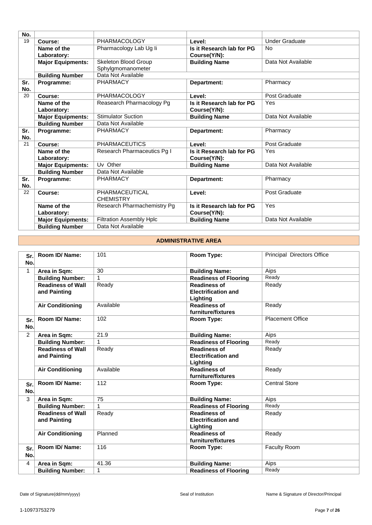| No. |                          |                                 |                           |                       |
|-----|--------------------------|---------------------------------|---------------------------|-----------------------|
| 19  | Course:                  | <b>PHARMACOLOGY</b>             | Level:                    | <b>Under Graduate</b> |
|     | Name of the              | Pharmacology Lab Ug li          | Is it Research lab for PG | <b>No</b>             |
|     | Laboratory:              |                                 | Course(Y/N):              |                       |
|     | <b>Major Equipments:</b> | Skeleton Blood Group            | <b>Building Name</b>      | Data Not Available    |
|     |                          | Sphylgmomanometer               |                           |                       |
|     | <b>Building Number</b>   | Data Not Available              |                           |                       |
| Sr. | Programme:               | <b>PHARMACY</b>                 | Department:               | Pharmacy              |
| No. |                          |                                 |                           |                       |
| 20  | Course:                  | PHARMACOLOGY                    | Level:                    | Post Graduate         |
|     | Name of the              | Reasearch Pharmacology Pg       | Is it Research lab for PG | Yes                   |
|     | Laboratory:              |                                 | Course(Y/N):              |                       |
|     | <b>Major Equipments:</b> | <b>Stimulator Suction</b>       | <b>Building Name</b>      | Data Not Available    |
|     | <b>Building Number</b>   | Data Not Available              |                           |                       |
| Sr. | Programme:               | <b>PHARMACY</b>                 | Department:               | Pharmacy              |
| No. |                          |                                 |                           |                       |
| 21  | Course:                  | <b>PHARMACEUTICS</b>            | Level:                    | Post Graduate         |
|     | Name of the              | Research Pharmaceutics Pg I     | Is it Research lab for PG | Yes                   |
|     | Laboratory:              |                                 | Course(Y/N):              |                       |
|     | <b>Major Equipments:</b> | Uv Other                        | <b>Building Name</b>      | Data Not Available    |
|     | <b>Building Number</b>   | Data Not Available              |                           |                       |
| Sr. | Programme:               | <b>PHARMACY</b>                 | Department:               | Pharmacy              |
| No. |                          |                                 |                           |                       |
| 22  | Course:                  | PHARMACEUTICAL                  | Level:                    | Post Graduate         |
|     |                          | <b>CHEMISTRY</b>                |                           |                       |
|     | Name of the              | Research Pharmachemistry Pg     | Is it Research lab for PG | Yes                   |
|     | Laboratory:              |                                 | Course(Y/N):              |                       |
|     | <b>Major Equipments:</b> | <b>Filtration Assembly Hplc</b> | <b>Building Name</b>      | Data Not Available    |
|     | <b>Building Number</b>   | Data Not Available              |                           |                       |

#### **ADMINISTRATIVE AREA**

| Sr.<br>No.     | Room ID/Name:            | 101       | Room Type:                   | Principal Directors Office |
|----------------|--------------------------|-----------|------------------------------|----------------------------|
| $\mathbf{1}$   | Area in Sqm:             | 30        | <b>Building Name:</b>        | Aips                       |
|                | <b>Building Number:</b>  |           | <b>Readiness of Flooring</b> | Ready                      |
|                | <b>Readiness of Wall</b> | Ready     | <b>Readiness of</b>          | Ready                      |
|                | and Painting             |           | <b>Electrification and</b>   |                            |
|                |                          |           | Lighting                     |                            |
|                | <b>Air Conditioning</b>  | Available | <b>Readiness of</b>          | Ready                      |
|                |                          |           | furniture/fixtures           |                            |
| Sr.            | Room ID/ Name:           | 102       | Room Type:                   | Placement Office           |
| No.            |                          |           |                              |                            |
| $\overline{2}$ | Area in Sqm:             | 21.9      | <b>Building Name:</b>        | Aips                       |
|                | <b>Building Number:</b>  |           | <b>Readiness of Flooring</b> | Ready                      |
|                | <b>Readiness of Wall</b> | Ready     | <b>Readiness of</b>          | Ready                      |
|                | and Painting             |           | <b>Electrification and</b>   |                            |
|                |                          |           | Lighting                     |                            |
|                | <b>Air Conditioning</b>  | Available | <b>Readiness of</b>          | Ready                      |
|                |                          |           | furniture/fixtures           |                            |
| Sr.            | Room ID/Name:            | 112       | Room Type:                   | <b>Central Store</b>       |
| No.            |                          |           |                              |                            |
| 3              | Area in Sqm:             | 75        | <b>Building Name:</b>        | Aips                       |
|                | <b>Building Number:</b>  | 1         | <b>Readiness of Flooring</b> | Ready                      |
|                | <b>Readiness of Wall</b> | Ready     | <b>Readiness of</b>          | Ready                      |
|                | and Painting             |           | <b>Electrification and</b>   |                            |
|                |                          |           | Lighting                     |                            |
|                | <b>Air Conditioning</b>  | Planned   | <b>Readiness of</b>          | Ready                      |
|                |                          |           | furniture/fixtures           |                            |
| Sr.            | Room ID/Name:            | 116       | Room Type:                   | Faculty Room               |
| No.            |                          |           |                              |                            |
| 4              | Area in Sqm:             | 41.36     | <b>Building Name:</b>        | Aips                       |
|                | <b>Building Number:</b>  | 1         | <b>Readiness of Flooring</b> | Ready                      |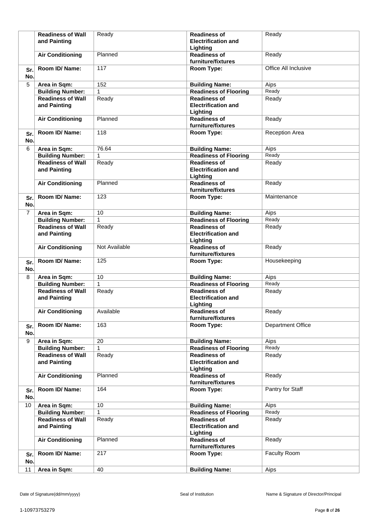|                | <b>Readiness of Wall</b><br>and Painting | Ready         | <b>Readiness of</b><br><b>Electrification and</b><br>Lighting | Ready                    |
|----------------|------------------------------------------|---------------|---------------------------------------------------------------|--------------------------|
|                | <b>Air Conditioning</b>                  | Planned       | <b>Readiness of</b><br>furniture/fixtures                     | Ready                    |
| Sr.<br>No.     | Room ID/Name:                            | 117           | Room Type:                                                    | Office All Inclusive     |
| 5              | Area in Sqm:                             | 152           | <b>Building Name:</b>                                         | Aips                     |
|                | <b>Building Number:</b>                  | $\mathbf{1}$  | <b>Readiness of Flooring</b>                                  | Ready                    |
|                | <b>Readiness of Wall</b>                 | Ready         | <b>Readiness of</b>                                           | Ready                    |
|                | and Painting                             |               | <b>Electrification and</b><br>Lighting                        |                          |
|                | <b>Air Conditioning</b>                  | Planned       | <b>Readiness of</b><br>furniture/fixtures                     | Ready                    |
| Sr.<br>No.     | Room ID/Name:                            | 118           | Room Type:                                                    | <b>Reception Area</b>    |
| 6              | Area in Sqm:                             | 76.64         | <b>Building Name:</b>                                         | Aips                     |
|                | <b>Building Number:</b>                  | $\mathbf{1}$  | <b>Readiness of Flooring</b>                                  | Ready                    |
|                | <b>Readiness of Wall</b><br>and Painting | Ready         | <b>Readiness of</b><br><b>Electrification and</b><br>Lighting | Ready                    |
|                | <b>Air Conditioning</b>                  | Planned       | <b>Readiness of</b><br>furniture/fixtures                     | Ready                    |
| Sr.<br>No.     | Room ID/Name:                            | 123           | Room Type:                                                    | Maintenance              |
| $\overline{7}$ | Area in Sqm:                             | 10            | <b>Building Name:</b>                                         | Aips                     |
|                | <b>Building Number:</b>                  | $\mathbf{1}$  | <b>Readiness of Flooring</b>                                  | Ready                    |
|                | <b>Readiness of Wall</b><br>and Painting | Ready         | <b>Readiness of</b><br><b>Electrification and</b><br>Lighting | Ready                    |
|                | <b>Air Conditioning</b>                  | Not Available | <b>Readiness of</b><br>furniture/fixtures                     | Ready                    |
| Sr.<br>No.     | Room ID/ Name:                           | 125           | Room Type:                                                    | Housekeeping             |
| 8              | Area in Sqm:                             | 10            | <b>Building Name:</b>                                         | Aips                     |
|                | <b>Building Number:</b>                  | $\mathbf{1}$  | <b>Readiness of Flooring</b>                                  | Ready                    |
|                | <b>Readiness of Wall</b><br>and Painting | Ready         | <b>Readiness of</b><br><b>Electrification and</b><br>Lighting | Ready                    |
|                | <b>Air Conditioning</b>                  | Available     | <b>Readiness of</b><br>furniture/fixtures                     | Ready                    |
| Sr.<br>No.     | Room ID/Name:                            | 163           | Room Type:                                                    | <b>Department Office</b> |
| 9              | Area in Sqm:                             | 20            | <b>Building Name:</b>                                         | Aips                     |
|                | <b>Building Number:</b>                  | 1             | <b>Readiness of Flooring</b>                                  | Ready                    |
|                | <b>Readiness of Wall</b><br>and Painting | Ready         | <b>Readiness of</b><br><b>Electrification and</b><br>Lighting | Ready                    |
|                | <b>Air Conditioning</b>                  | Planned       | <b>Readiness of</b><br>furniture/fixtures                     | Ready                    |
| Sr.<br>No.     | Room ID/Name:                            | 164           | Room Type:                                                    | Pantry for Staff         |
| 10             | Area in Sqm:                             | 10            | <b>Building Name:</b>                                         | Aips                     |
|                | <b>Building Number:</b>                  | 1             | <b>Readiness of Flooring</b>                                  | Ready                    |
|                | <b>Readiness of Wall</b><br>and Painting | Ready         | <b>Readiness of</b><br><b>Electrification and</b><br>Lighting | Ready                    |
|                | <b>Air Conditioning</b>                  | Planned       | <b>Readiness of</b><br>furniture/fixtures                     | Ready                    |
| Sr.<br>No.     | Room ID/ Name:                           | 217           | Room Type:                                                    | Faculty Room             |
| 11             | Area in Sqm:                             | 40            | <b>Building Name:</b>                                         | Aips                     |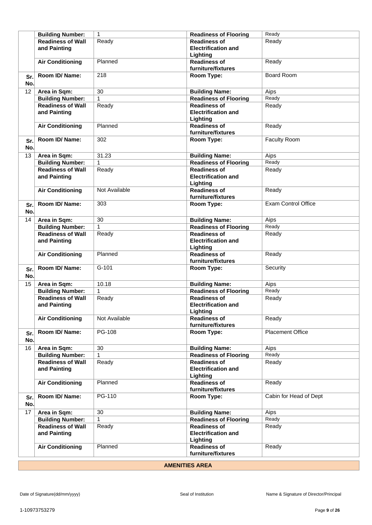|     | <b>Building Number:</b>  | $\mathbf{1}$    | <b>Readiness of Flooring</b> | Ready                      |
|-----|--------------------------|-----------------|------------------------------|----------------------------|
|     | <b>Readiness of Wall</b> | Ready           | <b>Readiness of</b>          | Ready                      |
|     | and Painting             |                 | <b>Electrification and</b>   |                            |
|     |                          |                 | Lighting                     |                            |
|     | <b>Air Conditioning</b>  | Planned         | <b>Readiness of</b>          | Ready                      |
|     |                          |                 | furniture/fixtures           |                            |
|     | Room ID/Name:            | 218             | Room Type:                   | <b>Board Room</b>          |
| Sr. |                          |                 |                              |                            |
| No. |                          |                 |                              |                            |
| 12  | Area in Sqm:             | 30              | <b>Building Name:</b>        | Aips                       |
|     | <b>Building Number:</b>  | $\mathbf{1}$    | <b>Readiness of Flooring</b> | Ready                      |
|     | <b>Readiness of Wall</b> | Ready           | <b>Readiness of</b>          | Ready                      |
|     | and Painting             |                 | <b>Electrification and</b>   |                            |
|     |                          |                 | Lighting                     |                            |
|     | <b>Air Conditioning</b>  | Planned         | <b>Readiness of</b>          | Ready                      |
|     |                          |                 | furniture/fixtures           |                            |
| Sr. | Room ID/ Name:           | 302             | Room Type:                   | Faculty Room               |
| No. |                          |                 |                              |                            |
|     |                          |                 |                              |                            |
| 13  | Area in Sqm:             | 31.23           | <b>Building Name:</b>        | Aips                       |
|     | <b>Building Number:</b>  | 1               | <b>Readiness of Flooring</b> | Ready                      |
|     | <b>Readiness of Wall</b> | Ready           | <b>Readiness of</b>          | Ready                      |
|     | and Painting             |                 | <b>Electrification and</b>   |                            |
|     |                          |                 | Lighting                     |                            |
|     | <b>Air Conditioning</b>  | Not Available   | <b>Readiness of</b>          | Ready                      |
|     |                          |                 | furniture/fixtures           |                            |
| Sr. | Room ID/ Name:           | 303             | Room Type:                   | <b>Exam Control Office</b> |
| No. |                          |                 |                              |                            |
| 14  | Area in Sqm:             | $\overline{30}$ | <b>Building Name:</b>        | Aips                       |
|     |                          | $\mathbf{1}$    |                              | Ready                      |
|     | <b>Building Number:</b>  |                 | <b>Readiness of Flooring</b> |                            |
|     | <b>Readiness of Wall</b> | Ready           | <b>Readiness of</b>          | Ready                      |
|     | and Painting             |                 | <b>Electrification and</b>   |                            |
|     |                          |                 | Lighting                     |                            |
|     | <b>Air Conditioning</b>  | Planned         | <b>Readiness of</b>          | Ready                      |
|     |                          |                 | furniture/fixtures           |                            |
| Sr. | Room ID/Name:            | $G-101$         | Room Type:                   | Security                   |
| No. |                          |                 |                              |                            |
| 15  | Area in Sqm:             | 10.18           | <b>Building Name:</b>        | Aips                       |
|     | <b>Building Number:</b>  | $\mathbf{1}$    | <b>Readiness of Flooring</b> | Ready                      |
|     | <b>Readiness of Wall</b> | Ready           | <b>Readiness of</b>          | Ready                      |
|     | and Painting             |                 | <b>Electrification and</b>   |                            |
|     |                          |                 | Lighting                     |                            |
|     | <b>Air Conditioning</b>  | Not Available   | <b>Readiness of</b>          | Ready                      |
|     |                          |                 | furniture/fixtures           |                            |
| Sr. | Room ID/ Name:           | PG-108          | <b>Room Type:</b>            | <b>Placement Office</b>    |
| No. |                          |                 |                              |                            |
|     |                          |                 |                              |                            |
| 16  | Area in Sqm:             | 30              | <b>Building Name:</b>        | Aips<br>Ready              |
|     | <b>Building Number:</b>  | 1               | <b>Readiness of Flooring</b> |                            |
|     | <b>Readiness of Wall</b> | Ready           | <b>Readiness of</b>          | Ready                      |
|     | and Painting             |                 | <b>Electrification and</b>   |                            |
|     |                          |                 | Lighting                     |                            |
|     | <b>Air Conditioning</b>  | Planned         | <b>Readiness of</b>          | Ready                      |
|     |                          |                 | furniture/fixtures           |                            |
| Sr. | Room ID/ Name:           | PG-110          | Room Type:                   | Cabin for Head of Dept     |
| No. |                          |                 |                              |                            |
| 17  | Area in Sqm:             | 30              | <b>Building Name:</b>        | Aips                       |
|     | <b>Building Number:</b>  | 1               | <b>Readiness of Flooring</b> | Ready                      |
|     | <b>Readiness of Wall</b> | Ready           | <b>Readiness of</b>          | Ready                      |
|     | and Painting             |                 | <b>Electrification and</b>   |                            |
|     |                          |                 | Lighting                     |                            |
|     | <b>Air Conditioning</b>  | Planned         | <b>Readiness of</b>          | Ready                      |
|     |                          |                 | furniture/fixtures           |                            |
|     |                          |                 |                              |                            |

### **AMENITIES AREA**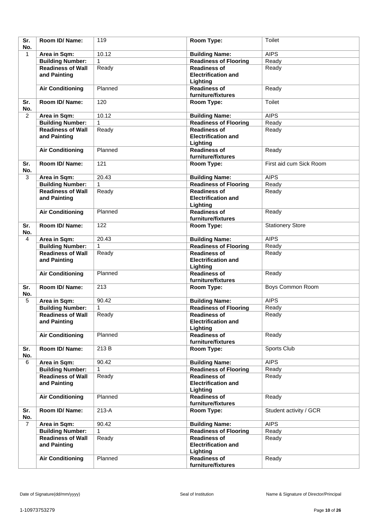| Sr.<br>No.     | Room ID/Name:                            | 119          | Room Type:                                                    | Toilet                  |
|----------------|------------------------------------------|--------------|---------------------------------------------------------------|-------------------------|
| $\mathbf{1}$   | Area in Sqm:                             | 10.12        | <b>Building Name:</b>                                         | <b>AIPS</b>             |
|                | <b>Building Number:</b>                  | 1            | <b>Readiness of Flooring</b>                                  | Ready                   |
|                | <b>Readiness of Wall</b>                 | Ready        | <b>Readiness of</b>                                           | Ready                   |
|                | and Painting                             |              | <b>Electrification and</b><br>Lighting                        |                         |
|                | <b>Air Conditioning</b>                  | Planned      | <b>Readiness of</b><br>furniture/fixtures                     | Ready                   |
| Sr.<br>No.     | Room ID/ Name:                           | 120          | Room Type:                                                    | Toilet                  |
| 2              | Area in Sqm:                             | 10.12        | <b>Building Name:</b>                                         | <b>AIPS</b>             |
|                | <b>Building Number:</b>                  | 1            | <b>Readiness of Flooring</b>                                  | Ready                   |
|                | <b>Readiness of Wall</b>                 | Ready        | <b>Readiness of</b>                                           | Ready                   |
|                | and Painting                             |              | <b>Electrification and</b><br>Lighting                        |                         |
|                | <b>Air Conditioning</b>                  | Planned      | <b>Readiness of</b><br>furniture/fixtures                     | Ready                   |
| Sr.<br>No.     | Room ID/Name:                            | 121          | Room Type:                                                    | First aid cum Sick Room |
| 3              | Area in Sqm:                             | 20.43        | <b>Building Name:</b>                                         | <b>AIPS</b>             |
|                | <b>Building Number:</b>                  | 1            | <b>Readiness of Flooring</b>                                  | Ready                   |
|                | <b>Readiness of Wall</b><br>and Painting | Ready        | <b>Readiness of</b><br><b>Electrification and</b><br>Lighting | Ready                   |
|                | <b>Air Conditioning</b>                  | Planned      | <b>Readiness of</b><br>furniture/fixtures                     | Ready                   |
| Sr.<br>No.     | Room ID/ Name:                           | 122          | Room Type:                                                    | <b>Stationery Store</b> |
| 4              | Area in Sqm:                             | 20.43        | <b>Building Name:</b>                                         | <b>AIPS</b>             |
|                | <b>Building Number:</b>                  | 1            | <b>Readiness of Flooring</b>                                  | Ready                   |
|                | <b>Readiness of Wall</b><br>and Painting | Ready        | <b>Readiness of</b><br><b>Electrification and</b><br>Lighting | Ready                   |
|                | <b>Air Conditioning</b>                  | Planned      | <b>Readiness of</b><br>furniture/fixtures                     | Ready                   |
| Sr.<br>No.     | Room ID/ Name:                           | 213          | Room Type:                                                    | <b>Boys Common Room</b> |
| 5              | Area in Sqm:                             | 90.42        | <b>Building Name:</b>                                         | <b>AIPS</b>             |
|                | <b>Building Number:</b>                  | $\mathbf{1}$ | <b>Readiness of Flooring</b>                                  | Ready                   |
|                | <b>Readiness of Wall</b><br>and Painting | Ready        | <b>Readiness of</b><br><b>Electrification and</b><br>Lighting | Ready                   |
|                | <b>Air Conditioning</b>                  | Planned      | <b>Readiness of</b><br>furniture/fixtures                     | Ready                   |
| Sr.<br>No.     | Room ID/ Name:                           | 213 B        | Room Type:                                                    | Sports Club             |
| 6              | Area in Sqm:                             | 90.42        | <b>Building Name:</b>                                         | <b>AIPS</b>             |
|                | <b>Building Number:</b>                  | 1            | <b>Readiness of Flooring</b>                                  | Ready                   |
|                | <b>Readiness of Wall</b><br>and Painting | Ready        | <b>Readiness of</b><br><b>Electrification and</b><br>Lighting | Ready                   |
|                | <b>Air Conditioning</b>                  | Planned      | <b>Readiness of</b><br>furniture/fixtures                     | Ready                   |
| Sr.<br>No.     | Room ID/ Name:                           | 213-A        | Room Type:                                                    | Student activity / GCR  |
| $\overline{7}$ | Area in Sqm:                             | 90.42        | <b>Building Name:</b>                                         | <b>AIPS</b>             |
|                | <b>Building Number:</b>                  | 1            | <b>Readiness of Flooring</b>                                  | Ready                   |
|                | <b>Readiness of Wall</b><br>and Painting | Ready        | <b>Readiness of</b><br><b>Electrification and</b><br>Lighting | Ready                   |
|                | <b>Air Conditioning</b>                  | Planned      | <b>Readiness of</b><br>furniture/fixtures                     | Ready                   |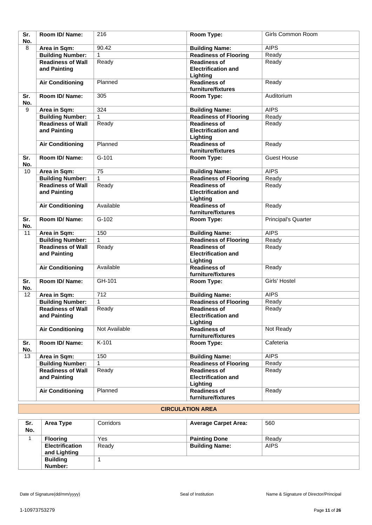| Sr.<br>No. | Room ID/Name:                            | 216           | Room Type:                                                    | Girls Common Room          |
|------------|------------------------------------------|---------------|---------------------------------------------------------------|----------------------------|
| 8          | Area in Sqm:                             | 90.42         | <b>Building Name:</b>                                         | <b>AIPS</b>                |
|            | <b>Building Number:</b>                  | 1             | Readiness of Flooring                                         | Ready                      |
|            | <b>Readiness of Wall</b><br>and Painting | Ready         | <b>Readiness of</b><br><b>Electrification and</b><br>Lighting | Ready                      |
|            | <b>Air Conditioning</b>                  | Planned       | <b>Readiness of</b><br>furniture/fixtures                     | Ready                      |
| Sr.<br>No. | Room ID/Name:                            | 305           | Room Type:                                                    | Auditorium                 |
| 9          | Area in Sqm:                             | 324           | <b>Building Name:</b>                                         | <b>AIPS</b>                |
|            | <b>Building Number:</b>                  | 1             | <b>Readiness of Flooring</b>                                  | Ready                      |
|            | <b>Readiness of Wall</b><br>and Painting | Ready         | <b>Readiness of</b><br><b>Electrification and</b><br>Lighting | Ready                      |
|            | <b>Air Conditioning</b>                  | Planned       | <b>Readiness of</b><br>furniture/fixtures                     | Ready                      |
| Sr.<br>No. | Room ID/Name:                            | $G-101$       | Room Type:                                                    | <b>Guest House</b>         |
| 10         | Area in Sqm:                             | 75            | <b>Building Name:</b>                                         | <b>AIPS</b>                |
|            | <b>Building Number:</b>                  | $\mathbf{1}$  | <b>Readiness of Flooring</b>                                  | Ready                      |
|            | <b>Readiness of Wall</b><br>and Painting | Ready         | <b>Readiness of</b><br><b>Electrification and</b><br>Lighting | Ready                      |
|            | <b>Air Conditioning</b>                  | Available     | <b>Readiness of</b><br>furniture/fixtures                     | Ready                      |
| Sr.<br>No. | Room ID/Name:                            | $G-102$       | Room Type:                                                    | <b>Principal's Quarter</b> |
| 11         | Area in Sqm:                             | 150           | <b>Building Name:</b>                                         | <b>AIPS</b>                |
|            | <b>Building Number:</b>                  | $\mathbf{1}$  | <b>Readiness of Flooring</b>                                  | Ready                      |
|            | <b>Readiness of Wall</b><br>and Painting | Ready         | <b>Readiness of</b><br><b>Electrification and</b><br>Lighting | Ready                      |
|            | <b>Air Conditioning</b>                  | Available     | <b>Readiness of</b><br>furniture/fixtures                     | Ready                      |
| Sr.<br>No. | Room ID/Name:                            | GH-101        | Room Type:                                                    | Girls' Hostel              |
| 12         | Area in Sqm:                             | 712           | <b>Building Name:</b>                                         | <b>AIPS</b>                |
|            | <b>Building Number:</b>                  | $\mathbf{1}$  | <b>Readiness of Flooring</b>                                  | Ready                      |
|            | <b>Readiness of Wall</b><br>and Painting | Ready         | <b>Readiness of</b><br><b>Electrification and</b><br>Lighting | Ready                      |
|            | <b>Air Conditioning</b>                  | Not Available | <b>Readiness of</b><br>furniture/fixtures                     | Not Ready                  |
| Sr.<br>No. | Room ID/ Name:                           | K-101         | Room Type:                                                    | Cafeteria                  |
| 13         | Area in Sqm:                             | 150           | <b>Building Name:</b>                                         | <b>AIPS</b>                |
|            | <b>Building Number:</b>                  | 1             | <b>Readiness of Flooring</b>                                  | Ready                      |
|            | <b>Readiness of Wall</b><br>and Painting | Ready         | <b>Readiness of</b><br><b>Electrification and</b><br>Lighting | Ready                      |
|            | <b>Air Conditioning</b>                  | Planned       | <b>Readiness of</b><br>furniture/fixtures                     | Ready                      |

#### **CIRCULATION AREA**

| Sr.<br>No. | Area Type              | Corridors | <b>Average Carpet Area:</b> | 560         |
|------------|------------------------|-----------|-----------------------------|-------------|
|            | <b>Flooring</b>        | Yes       | <b>Painting Done</b>        | Ready       |
|            | <b>Electrification</b> | Ready     | <b>Building Name:</b>       | <b>AIPS</b> |
|            | and Lighting           |           |                             |             |
|            | <b>Building</b>        |           |                             |             |
|            | Number:                |           |                             |             |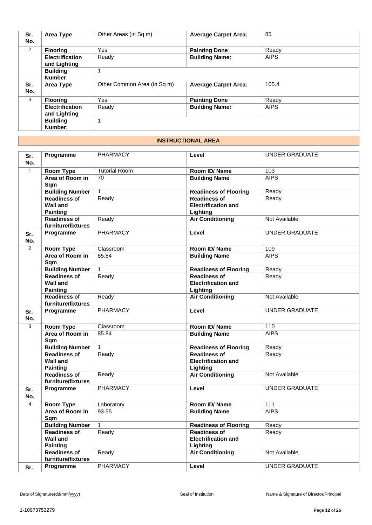| Sr.<br>No. | Area Type                              | Other Areas (in Sq m)       | <b>Average Carpet Area:</b> | 85          |
|------------|----------------------------------------|-----------------------------|-----------------------------|-------------|
| 2          | <b>Flooring</b>                        | <b>Yes</b>                  | <b>Painting Done</b>        | Ready       |
|            | <b>Electrification</b><br>and Lighting | Ready                       | <b>Building Name:</b>       | <b>AIPS</b> |
|            | <b>Building</b><br>Number:             |                             |                             |             |
| Sr.<br>No. | Area Type                              | Other Common Area (in Sq m) | <b>Average Carpet Area:</b> | 105.4       |
| 3          | <b>Flooring</b>                        | <b>Yes</b>                  | <b>Painting Done</b>        | Ready       |
|            | <b>Electrification</b><br>and Lighting | Ready                       | <b>Building Name:</b>       | <b>AIPS</b> |
|            | <b>Building</b><br>Number:             | 1                           |                             |             |

#### **INSTRUCTIONAL AREA**

| Sr.<br>No.   | Programme                                                 | <b>PHARMACY</b>      | Level                                                         | <b>UNDER GRADUATE</b> |
|--------------|-----------------------------------------------------------|----------------------|---------------------------------------------------------------|-----------------------|
| $\mathbf{1}$ | Room Type                                                 | <b>Tutorial Room</b> | Room ID/Name                                                  | 103                   |
|              | Area of Room in<br>Sqm                                    | 70                   | <b>Building Name</b>                                          | <b>AIPS</b>           |
|              | <b>Building Number</b>                                    | $\mathbf{1}$         | <b>Readiness of Flooring</b>                                  | Ready                 |
|              | <b>Readiness of</b><br><b>Wall and</b><br><b>Painting</b> | Ready                | <b>Readiness of</b><br><b>Electrification and</b><br>Lighting | Ready                 |
|              | <b>Readiness of</b><br>furniture/fixtures                 | Ready                | <b>Air Conditioning</b>                                       | Not Available         |
| Sr.<br>No.   | Programme                                                 | <b>PHARMACY</b>      | Level                                                         | <b>UNDER GRADUATE</b> |
| 2            | Room Type                                                 | Classroom            | Room ID/Name                                                  | 109                   |
|              | Area of Room in<br>Sqm                                    | 85.84                | <b>Building Name</b>                                          | <b>AIPS</b>           |
|              | <b>Building Number</b>                                    | $\mathbf{1}$         | <b>Readiness of Flooring</b>                                  | Ready                 |
|              | <b>Readiness of</b><br><b>Wall and</b><br><b>Painting</b> | Ready                | <b>Readiness of</b><br><b>Electrification and</b><br>Lighting | Ready                 |
|              | <b>Readiness of</b><br>furniture/fixtures                 | Ready                | <b>Air Conditioning</b>                                       | Not Available         |
| Sr.<br>No.   | Programme                                                 | <b>PHARMACY</b>      | Level                                                         | <b>UNDER GRADUATE</b> |
| 3            | Room Type                                                 | Classroom            | Room ID/Name                                                  | 110                   |
|              | Area of Room in<br>Sqm                                    | 85.84                | <b>Building Name</b>                                          | <b>AIPS</b>           |
|              | <b>Building Number</b>                                    | $\mathbf{1}$         | <b>Readiness of Flooring</b>                                  | Ready                 |
|              | <b>Readiness of</b><br><b>Wall and</b><br><b>Painting</b> | Ready                | <b>Readiness of</b><br><b>Electrification and</b><br>Lighting | Ready                 |
|              | <b>Readiness of</b><br>furniture/fixtures                 | Ready                | <b>Air Conditioning</b>                                       | Not Available         |
| Sr.<br>No.   | Programme                                                 | <b>PHARMACY</b>      | Level                                                         | <b>UNDER GRADUATE</b> |
| 4            | Room Type                                                 | Laboratory           | <b>Room ID/ Name</b>                                          | 111                   |
|              | Area of Room in<br>Sqm                                    | 93.55                | <b>Building Name</b>                                          | <b>AIPS</b>           |
|              | <b>Building Number</b>                                    | $\mathbf{1}$         | <b>Readiness of Flooring</b>                                  | Ready                 |
|              | <b>Readiness of</b><br><b>Wall and</b><br><b>Painting</b> | Ready                | <b>Readiness of</b><br><b>Electrification and</b><br>Lighting | Ready                 |
|              | <b>Readiness of</b><br>furniture/fixtures                 | Ready                | <b>Air Conditioning</b>                                       | Not Available         |
| Sr.          | Programme                                                 | <b>PHARMACY</b>      | Level                                                         | <b>UNDER GRADUATE</b> |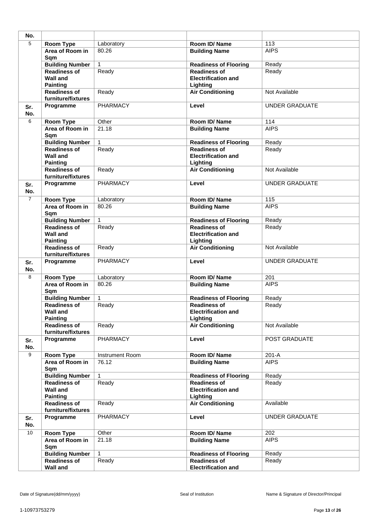| No.            |                                                           |                 |                                                               |                       |
|----------------|-----------------------------------------------------------|-----------------|---------------------------------------------------------------|-----------------------|
| $\overline{5}$ | <b>Room Type</b>                                          | Laboratory      | Room ID/Name                                                  | 113                   |
|                | Area of Room in<br>Sqm                                    | 80.26           | <b>Building Name</b>                                          | <b>AIPS</b>           |
|                | <b>Building Number</b>                                    | $\mathbf{1}$    | <b>Readiness of Flooring</b>                                  | Ready                 |
|                | <b>Readiness of</b><br><b>Wall and</b><br><b>Painting</b> | Ready           | <b>Readiness of</b><br><b>Electrification and</b><br>Lighting | Ready                 |
|                | <b>Readiness of</b><br>furniture/fixtures                 | Ready           | <b>Air Conditioning</b>                                       | Not Available         |
| Sr.<br>No.     | Programme                                                 | <b>PHARMACY</b> | Level                                                         | <b>UNDER GRADUATE</b> |
| 6              | Room Type                                                 | Other           | Room ID/ Name                                                 | 114                   |
|                | Area of Room in<br>Sqm                                    | 21.18           | <b>Building Name</b>                                          | <b>AIPS</b>           |
|                | <b>Building Number</b>                                    | $\mathbf{1}$    | <b>Readiness of Flooring</b>                                  | Ready                 |
|                | <b>Readiness of</b><br><b>Wall and</b><br><b>Painting</b> | Ready           | <b>Readiness of</b><br><b>Electrification and</b><br>Lighting | Ready                 |
|                | <b>Readiness of</b><br>furniture/fixtures                 | Ready           | <b>Air Conditioning</b>                                       | Not Available         |
| Sr.<br>No.     | Programme                                                 | <b>PHARMACY</b> | Level                                                         | <b>UNDER GRADUATE</b> |
| $\overline{7}$ | Room Type                                                 | Laboratory      | Room ID/Name                                                  | 115                   |
|                | Area of Room in<br>Sqm                                    | 80.26           | <b>Building Name</b>                                          | <b>AIPS</b>           |
|                | <b>Building Number</b>                                    | $\mathbf{1}$    | <b>Readiness of Flooring</b>                                  | Ready                 |
|                | <b>Readiness of</b><br><b>Wall and</b><br><b>Painting</b> | Ready           | <b>Readiness of</b><br><b>Electrification and</b><br>Lighting | Ready                 |
|                | <b>Readiness of</b><br>furniture/fixtures                 | Ready           | <b>Air Conditioning</b>                                       | Not Available         |
| Sr.<br>No.     | Programme                                                 | <b>PHARMACY</b> | Level                                                         | <b>UNDER GRADUATE</b> |
| 8              | <b>Room Type</b>                                          | Laboratory      | Room ID/Name                                                  | 201                   |
|                | Area of Room in<br>Sqm                                    | 80.26           | <b>Building Name</b>                                          | <b>AIPS</b>           |
|                | <b>Building Number</b>                                    | $\mathbf{1}$    | <b>Readiness of Flooring</b>                                  | Ready                 |
|                | <b>Readiness of</b><br>Wall and<br><b>Painting</b>        | Ready           | <b>Readiness of</b><br><b>Electrification and</b><br>Lighting | Ready                 |
|                | <b>Readiness of</b><br>furniture/fixtures                 | Ready           | <b>Air Conditioning</b>                                       | Not Available         |
| Sr.<br>No.     | Programme                                                 | <b>PHARMACY</b> | Level                                                         | POST GRADUATE         |
| 9              | Room Type                                                 | Instrument Room | Room ID/Name                                                  | $201-A$               |
|                | Area of Room in<br>Sqm                                    | 76.12           | <b>Building Name</b>                                          | <b>AIPS</b>           |
|                | <b>Building Number</b>                                    | 1               | <b>Readiness of Flooring</b>                                  | Ready                 |
|                | <b>Readiness of</b><br><b>Wall and</b><br><b>Painting</b> | Ready           | <b>Readiness of</b><br><b>Electrification and</b><br>Lighting | Ready                 |
|                | <b>Readiness of</b><br>furniture/fixtures                 | Ready           | <b>Air Conditioning</b>                                       | Available             |
| Sr.<br>No.     | Programme                                                 | PHARMACY        | Level                                                         | <b>UNDER GRADUATE</b> |
| 10             | <b>Room Type</b>                                          | Other           | Room ID/Name                                                  | 202                   |
|                | Area of Room in<br>Sqm                                    | 21.18           | <b>Building Name</b>                                          | <b>AIPS</b>           |
|                | <b>Building Number</b>                                    | $\mathbf{1}$    | <b>Readiness of Flooring</b>                                  | Ready                 |
|                | <b>Readiness of</b><br><b>Wall and</b>                    | Ready           | <b>Readiness of</b><br><b>Electrification and</b>             | Ready                 |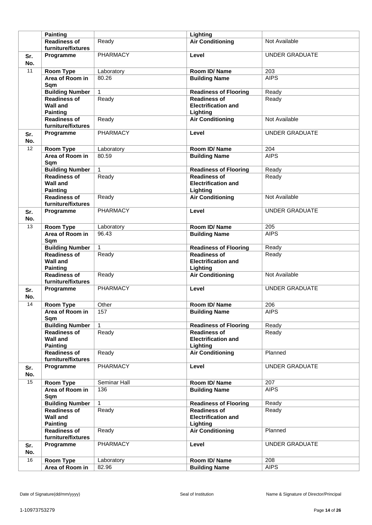|            | <b>Painting</b>                                           |                 | Lighting                                                      |                       |
|------------|-----------------------------------------------------------|-----------------|---------------------------------------------------------------|-----------------------|
|            | <b>Readiness of</b>                                       | Ready           | <b>Air Conditioning</b>                                       | Not Available         |
|            | furniture/fixtures                                        |                 |                                                               |                       |
| Sr.<br>No. | Programme                                                 | <b>PHARMACY</b> | Level                                                         | <b>UNDER GRADUATE</b> |
| 11         | Room Type                                                 | Laboratory      | Room ID/Name                                                  | 203                   |
|            | Area of Room in<br>Sqm                                    | 80.26           | <b>Building Name</b>                                          | <b>AIPS</b>           |
|            | <b>Building Number</b>                                    | $\mathbf{1}$    | <b>Readiness of Flooring</b>                                  | Ready                 |
|            | <b>Readiness of</b>                                       | Ready           | <b>Readiness of</b>                                           | Ready                 |
|            | <b>Wall and</b><br><b>Painting</b>                        |                 | <b>Electrification and</b><br>Lighting                        |                       |
|            | <b>Readiness of</b><br>furniture/fixtures                 | Ready           | <b>Air Conditioning</b>                                       | Not Available         |
| Sr.<br>No. | Programme                                                 | PHARMACY        | Level                                                         | <b>UNDER GRADUATE</b> |
| 12         | <b>Room Type</b>                                          | Laboratory      | Room ID/Name                                                  | 204                   |
|            | Area of Room in<br>Sqm                                    | 80.59           | <b>Building Name</b>                                          | <b>AIPS</b>           |
|            | <b>Building Number</b>                                    | $\mathbf{1}$    | <b>Readiness of Flooring</b>                                  | Ready                 |
|            | <b>Readiness of</b><br><b>Wall and</b><br><b>Painting</b> | Ready           | <b>Readiness of</b><br><b>Electrification and</b><br>Lighting | Ready                 |
|            | <b>Readiness of</b><br>furniture/fixtures                 | Ready           | <b>Air Conditioning</b>                                       | Not Available         |
| Sr.<br>No. | Programme                                                 | <b>PHARMACY</b> | Level                                                         | <b>UNDER GRADUATE</b> |
| 13         | <b>Room Type</b>                                          | Laboratory      | Room ID/Name                                                  | 205                   |
|            | Area of Room in<br>Sqm                                    | 96.43           | <b>Building Name</b>                                          | <b>AIPS</b>           |
|            | <b>Building Number</b>                                    | $\mathbf{1}$    | <b>Readiness of Flooring</b>                                  | Ready                 |
|            | <b>Readiness of</b><br><b>Wall and</b><br><b>Painting</b> | Ready           | <b>Readiness of</b><br><b>Electrification and</b><br>Lighting | Ready                 |
|            | <b>Readiness of</b><br>furniture/fixtures                 | Ready           | <b>Air Conditioning</b>                                       | Not Available         |
| Sr.<br>No. | Programme                                                 | PHARMACY        | Level                                                         | <b>UNDER GRADUATE</b> |
| 14         | Room Type                                                 | Other           | Room ID/Name                                                  | 206                   |
|            | Area of Room in<br>Sqm                                    | 157             | <b>Building Name</b>                                          | AIPS                  |
|            | <b>Building Number</b>                                    | $\mathbf{1}$    | <b>Readiness of Flooring</b>                                  | Ready                 |
|            | <b>Readiness of</b><br><b>Wall and</b><br><b>Painting</b> | Ready           | <b>Readiness of</b><br><b>Electrification and</b><br>Lighting | Ready                 |
|            | <b>Readiness of</b><br>furniture/fixtures                 | Ready           | <b>Air Conditioning</b>                                       | Planned               |
| Sr.<br>No. | Programme                                                 | <b>PHARMACY</b> | Level                                                         | UNDER GRADUATE        |
| 15         | <b>Room Type</b>                                          | Seminar Hall    | Room ID/Name                                                  | 207                   |
|            | Area of Room in<br>Sqm                                    | 136             | <b>Building Name</b>                                          | <b>AIPS</b>           |
|            | <b>Building Number</b>                                    | $\mathbf{1}$    | <b>Readiness of Flooring</b>                                  | Ready                 |
|            | <b>Readiness of</b><br><b>Wall and</b><br><b>Painting</b> | Ready           | <b>Readiness of</b><br><b>Electrification and</b><br>Lighting | Ready                 |
|            | <b>Readiness of</b><br>furniture/fixtures                 | Ready           | <b>Air Conditioning</b>                                       | Planned               |
| Sr.<br>No. | Programme                                                 | PHARMACY        | Level                                                         | UNDER GRADUATE        |
| 16         | Room Type                                                 | Laboratory      | Room ID/Name                                                  | 208                   |
|            | Area of Room in                                           | 82.96           | <b>Building Name</b>                                          | <b>AIPS</b>           |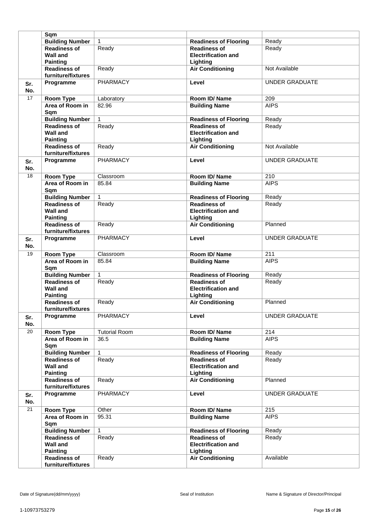|                 | Sqm                                                       |                      |                                                               |                       |
|-----------------|-----------------------------------------------------------|----------------------|---------------------------------------------------------------|-----------------------|
|                 | <b>Building Number</b>                                    | $\mathbf{1}$         | <b>Readiness of Flooring</b>                                  | Ready                 |
|                 | <b>Readiness of</b><br><b>Wall and</b><br><b>Painting</b> | Ready                | <b>Readiness of</b><br><b>Electrification and</b><br>Lighting | Ready                 |
|                 | <b>Readiness of</b><br>furniture/fixtures                 | Ready                | <b>Air Conditioning</b>                                       | Not Available         |
| Sr.<br>No.      | Programme                                                 | <b>PHARMACY</b>      | Level                                                         | <b>UNDER GRADUATE</b> |
| 17              | Room Type                                                 | Laboratory           | Room ID/Name                                                  | 209                   |
|                 | Area of Room in<br>Sqm                                    | 82.96                | <b>Building Name</b>                                          | <b>AIPS</b>           |
|                 | <b>Building Number</b>                                    | $\mathbf{1}$         | <b>Readiness of Flooring</b>                                  | Ready                 |
|                 | <b>Readiness of</b><br><b>Wall and</b><br><b>Painting</b> | Ready                | <b>Readiness of</b><br><b>Electrification and</b><br>Lighting | Ready                 |
|                 | <b>Readiness of</b><br>furniture/fixtures                 | Ready                | <b>Air Conditioning</b>                                       | Not Available         |
| Sr.<br>No.      | Programme                                                 | <b>PHARMACY</b>      | Level                                                         | <b>UNDER GRADUATE</b> |
| $\overline{18}$ | Room Type                                                 | Classroom            | Room ID/Name                                                  | 210                   |
|                 | Area of Room in<br>Sqm                                    | 85.84                | <b>Building Name</b>                                          | <b>AIPS</b>           |
|                 | <b>Building Number</b>                                    | $\mathbf{1}$         | <b>Readiness of Flooring</b>                                  | Ready                 |
|                 | <b>Readiness of</b><br><b>Wall and</b><br><b>Painting</b> | Ready                | <b>Readiness of</b><br><b>Electrification and</b><br>Lighting | Ready                 |
|                 | <b>Readiness of</b><br>furniture/fixtures                 | Ready                | <b>Air Conditioning</b>                                       | Planned               |
| Sr.<br>No.      | Programme                                                 | PHARMACY             | Level                                                         | <b>UNDER GRADUATE</b> |
| $\overline{19}$ | Room Type                                                 | Classroom            | Room ID/Name                                                  | 211                   |
|                 | Area of Room in<br>Sqm                                    | 85.84                | <b>Building Name</b>                                          | <b>AIPS</b>           |
|                 | <b>Building Number</b>                                    | $\mathbf{1}$         | <b>Readiness of Flooring</b>                                  | Ready                 |
|                 | <b>Readiness of</b><br><b>Wall and</b><br><b>Painting</b> | Ready                | <b>Readiness of</b><br><b>Electrification and</b><br>Lighting | Ready                 |
|                 | <b>Readiness of</b><br>furniture/fixtures                 | Ready                | <b>Air Conditioning</b>                                       | Planned               |
| Sr.<br>No.      | Programme                                                 | <b>PHARMACY</b>      | Level                                                         | <b>UNDER GRADUATE</b> |
| 20              | Room Type                                                 | <b>Tutorial Room</b> | Room ID/ Name                                                 | 214                   |
|                 | Area of Room in<br>Sqm                                    | 36.5                 | <b>Building Name</b>                                          | <b>AIPS</b>           |
|                 | <b>Building Number</b>                                    | 1                    | <b>Readiness of Flooring</b>                                  | Ready                 |
|                 | <b>Readiness of</b><br><b>Wall and</b><br><b>Painting</b> | Ready                | <b>Readiness of</b><br><b>Electrification and</b><br>Lighting | Ready                 |
|                 | <b>Readiness of</b><br>furniture/fixtures                 | Ready                | <b>Air Conditioning</b>                                       | Planned               |
| Sr.<br>No.      | Programme                                                 | PHARMACY             | Level                                                         | UNDER GRADUATE        |
| 21              | Room Type                                                 | Other                | Room ID/ Name                                                 | 215                   |
|                 | Area of Room in<br>Sqm                                    | 95.31                | <b>Building Name</b>                                          | <b>AIPS</b>           |
|                 | <b>Building Number</b>                                    | $\mathbf{1}$         | <b>Readiness of Flooring</b>                                  | Ready                 |
|                 | Readiness of<br><b>Wall and</b><br><b>Painting</b>        | Ready                | <b>Readiness of</b><br><b>Electrification and</b><br>Lighting | Ready                 |
|                 | <b>Readiness of</b><br>furniture/fixtures                 | Ready                | <b>Air Conditioning</b>                                       | Available             |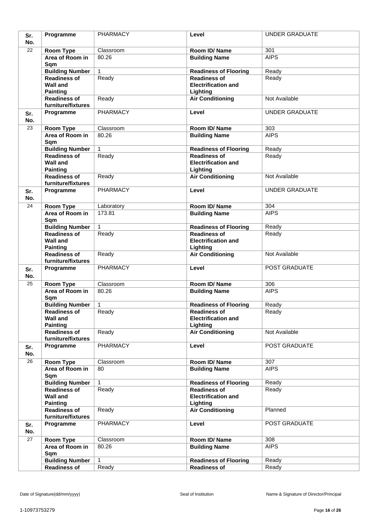| Sr.        | Programme                                                 | <b>PHARMACY</b> | Level                                                         | <b>UNDER GRADUATE</b> |
|------------|-----------------------------------------------------------|-----------------|---------------------------------------------------------------|-----------------------|
| No.        |                                                           |                 |                                                               |                       |
| 22         | Room Type                                                 | Classroom       | Room ID/Name                                                  | 301                   |
|            | Area of Room in<br>Sqm                                    | 80.26           | <b>Building Name</b>                                          | <b>AIPS</b>           |
|            | <b>Building Number</b>                                    | $\mathbf{1}$    | <b>Readiness of Flooring</b>                                  | Ready                 |
|            | <b>Readiness of</b><br><b>Wall and</b><br><b>Painting</b> | Ready           | <b>Readiness of</b><br><b>Electrification and</b><br>Lighting | Ready                 |
|            | <b>Readiness of</b><br>furniture/fixtures                 | Ready           | <b>Air Conditioning</b>                                       | Not Available         |
| Sr.        | Programme                                                 | <b>PHARMACY</b> | Level                                                         | <b>UNDER GRADUATE</b> |
| No.        |                                                           |                 |                                                               |                       |
| 23         | Room Type                                                 | Classroom       | Room ID/Name                                                  | 303                   |
|            | Area of Room in<br>Sqm                                    | 80.26           | <b>Building Name</b>                                          | <b>AIPS</b>           |
|            | <b>Building Number</b>                                    | $\mathbf{1}$    | <b>Readiness of Flooring</b>                                  | Ready                 |
|            | <b>Readiness of</b><br><b>Wall and</b><br><b>Painting</b> | Ready           | <b>Readiness of</b><br><b>Electrification and</b><br>Lighting | Ready                 |
|            | <b>Readiness of</b><br>furniture/fixtures                 | Ready           | <b>Air Conditioning</b>                                       | Not Available         |
| Sr.<br>No. | Programme                                                 | <b>PHARMACY</b> | Level                                                         | <b>UNDER GRADUATE</b> |
| 24         | <b>Room Type</b>                                          | Laboratory      | Room ID/ Name                                                 | 304                   |
|            | Area of Room in<br>Sqm                                    | 173.81          | <b>Building Name</b>                                          | <b>AIPS</b>           |
|            | <b>Building Number</b>                                    | $\mathbf{1}$    | <b>Readiness of Flooring</b>                                  | Ready                 |
|            | <b>Readiness of</b><br><b>Wall and</b><br><b>Painting</b> | Ready           | <b>Readiness of</b><br><b>Electrification and</b><br>Lighting | Ready                 |
|            | <b>Readiness of</b><br>furniture/fixtures                 | Ready           | <b>Air Conditioning</b>                                       | Not Available         |
| Sr.<br>No. | Programme                                                 | <b>PHARMACY</b> | Level                                                         | POST GRADUATE         |
| 25         | Room Type                                                 | Classroom       | Room ID/Name                                                  | 306                   |
|            | Area of Room in<br>Sqm                                    | 80.26           | <b>Building Name</b>                                          | <b>AIPS</b>           |
|            | <b>Building Number</b>                                    | $\mathbf{1}$    | <b>Readiness of Flooring</b>                                  | Ready                 |
|            | <b>Readiness of</b><br><b>Wall and</b><br><b>Painting</b> | Ready           | <b>Readiness of</b><br><b>Electrification and</b><br>Lighting | Ready                 |
|            | <b>Readiness of</b><br>furniture/fixtures                 | Ready           | <b>Air Conditioning</b>                                       | Not Available         |
| Sr.<br>No. | Programme                                                 | PHARMACY        | Level                                                         | POST GRADUATE         |
| 26         | Room Type                                                 | Classroom       | Room ID/Name                                                  | 307                   |
|            | Area of Room in<br>Sqm                                    | 80              | <b>Building Name</b>                                          | <b>AIPS</b>           |
|            | <b>Building Number</b>                                    | 1               | <b>Readiness of Flooring</b>                                  | Ready                 |
|            | <b>Readiness of</b><br><b>Wall and</b><br><b>Painting</b> | Ready           | <b>Readiness of</b><br><b>Electrification and</b><br>Lighting | Ready                 |
|            | <b>Readiness of</b><br>furniture/fixtures                 | Ready           | <b>Air Conditioning</b>                                       | Planned               |
| Sr.<br>No. | Programme                                                 | PHARMACY        | Level                                                         | POST GRADUATE         |
| 27         | Room Type                                                 | Classroom       | Room ID/Name                                                  | 308                   |
|            | Area of Room in<br>Sqm                                    | 80.26           | <b>Building Name</b>                                          | <b>AIPS</b>           |
|            | <b>Building Number</b>                                    | $\mathbf{1}$    | <b>Readiness of Flooring</b>                                  | Ready                 |
|            | <b>Readiness of</b>                                       | Ready           | <b>Readiness of</b>                                           | Ready                 |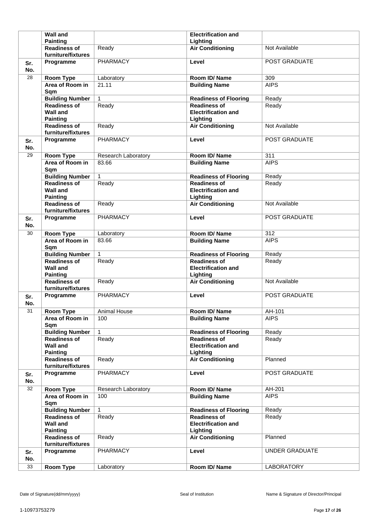|            | <b>Wall and</b>                                              |                     | <b>Electrification and</b>                                    |                       |
|------------|--------------------------------------------------------------|---------------------|---------------------------------------------------------------|-----------------------|
|            | <b>Painting</b>                                              |                     | Lighting                                                      |                       |
|            | <b>Readiness of</b><br>furniture/fixtures                    | Ready               | <b>Air Conditioning</b>                                       | Not Available         |
| Sr.<br>No. | Programme                                                    | <b>PHARMACY</b>     | Level                                                         | POST GRADUATE         |
| 28         | Room Type                                                    | Laboratory          | Room ID/Name                                                  | 309                   |
|            | Area of Room in<br>Sqm                                       | 21.11               | <b>Building Name</b>                                          | <b>AIPS</b>           |
|            | <b>Building Number</b>                                       | $\mathbf{1}$        | <b>Readiness of Flooring</b>                                  | Ready                 |
|            | <b>Readiness of</b><br><b>Wall and</b><br><b>Painting</b>    | Ready               | <b>Readiness of</b><br><b>Electrification and</b><br>Lighting | Ready                 |
|            | <b>Readiness of</b><br>furniture/fixtures                    | Ready               | <b>Air Conditioning</b>                                       | Not Available         |
| Sr.<br>No. | Programme                                                    | PHARMACY            | Level                                                         | POST GRADUATE         |
| 29         | Room Type                                                    | Research Laboratory | Room ID/Name                                                  | 311                   |
|            | Area of Room in<br>Sqm                                       | 83.66               | <b>Building Name</b>                                          | <b>AIPS</b>           |
|            | <b>Building Number</b>                                       | $\mathbf{1}$        | <b>Readiness of Flooring</b>                                  | Ready                 |
|            | Readiness of<br><b>Wall and</b><br><b>Painting</b>           | Ready               | <b>Readiness of</b><br><b>Electrification and</b><br>Lighting | Ready                 |
|            | <b>Readiness of</b><br>furniture/fixtures                    | Ready               | <b>Air Conditioning</b>                                       | Not Available         |
| Sr.<br>No. | Programme                                                    | PHARMACY            | Level                                                         | POST GRADUATE         |
| 30         | <b>Room Type</b>                                             | Laboratory          | Room ID/Name                                                  | 312                   |
|            | Area of Room in<br>Sqm                                       | 83.66               | <b>Building Name</b>                                          | <b>AIPS</b>           |
|            | <b>Building Number</b>                                       | $\mathbf{1}$        | <b>Readiness of Flooring</b>                                  | Ready                 |
|            |                                                              |                     |                                                               |                       |
|            | <b>Readiness of</b><br><b>Wall and</b>                       | Ready               | <b>Readiness of</b><br><b>Electrification and</b>             | Ready                 |
|            | <b>Painting</b><br><b>Readiness of</b><br>furniture/fixtures | Ready               | Lighting<br><b>Air Conditioning</b>                           | Not Available         |
| Sr.<br>No. | Programme                                                    | PHARMACY            | Level                                                         | POST GRADUATE         |
| 31         | <b>Room Type</b>                                             | <b>Animal House</b> | Room ID/Name                                                  | AH-101                |
|            | Area of Room in<br>Sqm                                       | 100                 | <b>Building Name</b>                                          | <b>AIPS</b>           |
|            | <b>Building Number</b>                                       | $\mathbf{1}$        | <b>Readiness of Flooring</b>                                  | Ready                 |
|            | <b>Readiness of</b><br><b>Wall and</b><br><b>Painting</b>    | Ready               | <b>Readiness of</b><br><b>Electrification and</b><br>Lighting | Ready                 |
|            | <b>Readiness of</b><br>furniture/fixtures                    | Ready               | <b>Air Conditioning</b>                                       | Planned               |
| Sr.<br>No. | Programme                                                    | <b>PHARMACY</b>     | Level                                                         | POST GRADUATE         |
| 32         | Room Type                                                    | Research Laboratory | Room ID/Name                                                  | AH-201                |
|            | Area of Room in<br>Sqm                                       | 100                 | <b>Building Name</b>                                          | <b>AIPS</b>           |
|            | <b>Building Number</b>                                       | $\mathbf{1}$        | <b>Readiness of Flooring</b>                                  | Ready                 |
|            | <b>Readiness of</b><br><b>Wall and</b>                       | Ready               | <b>Readiness of</b><br><b>Electrification and</b>             | Ready                 |
|            | <b>Painting</b><br><b>Readiness of</b><br>furniture/fixtures | Ready               | Lighting<br><b>Air Conditioning</b>                           | Planned               |
| Sr.<br>No. | Programme                                                    | <b>PHARMACY</b>     | Level                                                         | <b>UNDER GRADUATE</b> |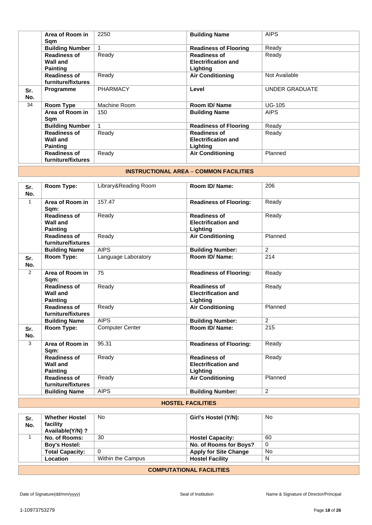|     | Area of Room in        | 2250            | <b>Building Name</b>         | <b>AIPS</b>           |
|-----|------------------------|-----------------|------------------------------|-----------------------|
|     | Sqm                    |                 |                              |                       |
|     | <b>Building Number</b> |                 | <b>Readiness of Flooring</b> | Ready                 |
|     | <b>Readiness of</b>    | Ready           | <b>Readiness of</b>          | Ready                 |
|     | <b>Wall and</b>        |                 | <b>Electrification and</b>   |                       |
|     | <b>Painting</b>        |                 | Lighting                     |                       |
|     | <b>Readiness of</b>    | Ready           | <b>Air Conditioning</b>      | Not Available         |
|     | furniture/fixtures     |                 |                              |                       |
| Sr. | Programme              | <b>PHARMACY</b> | Level                        | <b>UNDER GRADUATE</b> |
| No. |                        |                 |                              |                       |
| 34  | Room Type              | Machine Room    | Room ID/Name                 | <b>UG-105</b>         |
|     | Area of Room in        | 150             | <b>Building Name</b>         | <b>AIPS</b>           |
|     | Sam                    |                 |                              |                       |
|     | <b>Building Number</b> |                 | <b>Readiness of Flooring</b> | Ready                 |
|     | <b>Readiness of</b>    | Ready           | <b>Readiness of</b>          | Ready                 |
|     | <b>Wall and</b>        |                 | <b>Electrification and</b>   |                       |
|     | <b>Painting</b>        |                 | Lighting                     |                       |
|     | <b>Readiness of</b>    | Ready           | <b>Air Conditioning</b>      | Planned               |
|     | furniture/fixtures     |                 |                              |                       |

## **INSTRUCTIONAL AREA** – **COMMON FACILITIES**

| Sr.<br>No.     | Room Type:                                                | Library&Reading Room   | Room ID/Name:                                                 | 206            |
|----------------|-----------------------------------------------------------|------------------------|---------------------------------------------------------------|----------------|
| $\mathbf{1}$   | Area of Room in<br>Sqm:                                   | 157.47                 | <b>Readiness of Flooring:</b>                                 | Ready          |
|                | Readiness of<br><b>Wall and</b><br><b>Painting</b>        | Ready                  | <b>Readiness of</b><br><b>Electrification and</b><br>Lighting | Ready          |
|                | <b>Readiness of</b><br>furniture/fixtures                 | Ready                  | <b>Air Conditioning</b>                                       | Planned        |
|                | <b>Building Name</b>                                      | <b>AIPS</b>            | <b>Building Number:</b>                                       | 2              |
| Sr.<br>No.     | Room Type:                                                | Language Laboratory    | Room ID/Name:                                                 | 214            |
| $\overline{2}$ | Area of Room in<br>Sqm:                                   | 75                     | <b>Readiness of Flooring:</b>                                 | Ready          |
|                | <b>Readiness of</b><br><b>Wall and</b><br><b>Painting</b> | Ready                  | <b>Readiness of</b><br><b>Electrification and</b><br>Lighting | Ready          |
|                | <b>Readiness of</b><br>furniture/fixtures                 | Ready                  | <b>Air Conditioning</b>                                       | Planned        |
|                | <b>Building Name</b>                                      | <b>AIPS</b>            | <b>Building Number:</b>                                       | $\overline{2}$ |
| Sr.<br>No.     | Room Type:                                                | <b>Computer Center</b> | Room ID/ Name:                                                | 215            |
| 3              | Area of Room in<br>Sqm:                                   | 95.31                  | <b>Readiness of Flooring:</b>                                 | Ready          |
|                | <b>Readiness of</b><br><b>Wall and</b><br><b>Painting</b> | Ready                  | <b>Readiness of</b><br><b>Electrification and</b><br>Lighting | Ready          |
|                | <b>Readiness of</b><br>furniture/fixtures                 | Ready                  | <b>Air Conditioning</b>                                       | Planned        |
|                | <b>Building Name</b>                                      | <b>AIPS</b>            | <b>Building Number:</b>                                       | 2              |

#### **HOSTEL FACILITIES**

| Sr.<br>No.                      | <b>Whether Hostel</b><br>facility<br>Available(Y/N)? | No.               | Girl's Hostel (Y/N):         | No |
|---------------------------------|------------------------------------------------------|-------------------|------------------------------|----|
|                                 | No. of Rooms:                                        | 30                | <b>Hostel Capacity:</b>      | 60 |
|                                 | <b>Boy's Hostel:</b>                                 |                   | No. of Rooms for Boys?       | 0  |
|                                 | <b>Total Capacity:</b>                               | 0                 | <b>Apply for Site Change</b> | No |
|                                 | Location                                             | Within the Campus | <b>Hostel Facility</b>       | N  |
| <b>COMPUTATIONAL FACILITIES</b> |                                                      |                   |                              |    |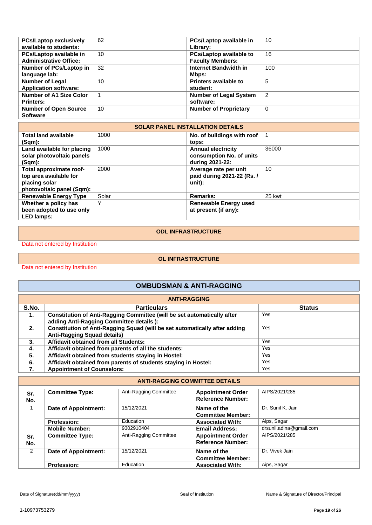| <b>PCs/Laptop exclusively</b> | 62 | PCs/Laptop available in        | 10             |
|-------------------------------|----|--------------------------------|----------------|
| available to students:        |    | Library:                       |                |
| PCs/Laptop available in       | 10 | <b>PCs/Laptop available to</b> | 16             |
| <b>Administrative Office:</b> |    | <b>Faculty Members:</b>        |                |
| Number of PCs/Laptop in       | 32 | Internet Bandwidth in          | 100            |
| language lab:                 |    | Mbps:                          |                |
| <b>Number of Legal</b>        | 10 | Printers available to          | 5              |
| <b>Application software:</b>  |    | student:                       |                |
| Number of A1 Size Color       |    | <b>Number of Legal System</b>  | $\overline{2}$ |
| <b>Printers:</b>              |    | software:                      |                |
| <b>Number of Open Source</b>  | 10 | <b>Number of Proprietary</b>   | 0              |
| <b>Software</b>               |    |                                |                |

| <b>SOLAR PANEL INSTALLATION DETAILS</b> |       |                              |        |  |  |
|-----------------------------------------|-------|------------------------------|--------|--|--|
| <b>Total land available</b>             | 1000  | No. of buildings with roof   |        |  |  |
| (Sqm):                                  |       | tops:                        |        |  |  |
| Land available for placing              | 1000  | <b>Annual electricity</b>    | 36000  |  |  |
| solar photovoltaic panels               |       | consumption No. of units     |        |  |  |
| $(Sqm)$ :                               |       | during 2021-22:              |        |  |  |
| Total approximate roof-                 | 2000  | Average rate per unit        | 10     |  |  |
| top area available for                  |       | paid during 2021-22 (Rs. /   |        |  |  |
| placing solar                           |       | unit):                       |        |  |  |
| photovoltaic panel (Sqm):               |       |                              |        |  |  |
| <b>Renewable Energy Type</b>            | Solar | <b>Remarks:</b>              | 25 kwt |  |  |
| Whether a policy has                    | Y     | <b>Renewable Energy used</b> |        |  |  |
| been adopted to use only                |       | at present (if any):         |        |  |  |
| <b>LED lamps:</b>                       |       |                              |        |  |  |

#### **ODL INFRASTRUCTURE**

Data not entered by Institution

#### **OL INFRASTRUCTURE**

Data not entered by Institution

## **OMBUDSMAN & ANTI-RAGGING**

| <b>ANTI-RAGGING</b> |                                                                            |               |  |  |
|---------------------|----------------------------------------------------------------------------|---------------|--|--|
| S.No.               | <b>Particulars</b>                                                         | <b>Status</b> |  |  |
| 1.                  | Constitution of Anti-Ragging Committee (will be set automatically after    | Yes           |  |  |
|                     | adding Anti-Ragging Committee details ):                                   |               |  |  |
| 2.                  | Constitution of Anti-Ragging Squad (will be set automatically after adding | Yes           |  |  |
|                     | <b>Anti-Ragging Squad details)</b>                                         |               |  |  |
| 3.                  | <b>Affidavit obtained from all Students:</b>                               | <b>Yes</b>    |  |  |
| 4.                  | Affidavit obtained from parents of all the students:                       | Yes           |  |  |
| 5.                  | Affidavit obtained from students staying in Hostel:                        | Yes           |  |  |
| 6.                  | Affidavit obtained from parents of students staying in Hostel:             | Yes           |  |  |
| 7.                  | <b>Appointment of Counselors:</b>                                          | Yes           |  |  |

#### **ANTI-RAGGING COMMITTEE DETAILS**

| Sr.<br>No. | <b>Committee Type:</b> | Anti-Ragging Committee | <b>Appointment Order</b><br><b>Reference Number:</b> | AIPS/2021/285           |
|------------|------------------------|------------------------|------------------------------------------------------|-------------------------|
|            | Date of Appointment:   | 15/12/2021             | Name of the<br><b>Committee Member:</b>              | Dr. Sunil K. Jain       |
|            | <b>Profession:</b>     | Education              | <b>Associated With:</b>                              | Aips, Sagar             |
|            | <b>Mobile Number:</b>  | 9302910404             | <b>Email Address:</b>                                | drsunil.adina@gmail.com |
| Sr.<br>No. | <b>Committee Type:</b> | Anti-Ragging Committee | <b>Appointment Order</b><br><b>Reference Number:</b> | AIPS/2021/285           |
| 2          | Date of Appointment:   | 15/12/2021             | Name of the<br><b>Committee Member:</b>              | Dr. Vivek Jain          |
|            | <b>Profession:</b>     | Education              | <b>Associated With:</b>                              | Aips, Sagar             |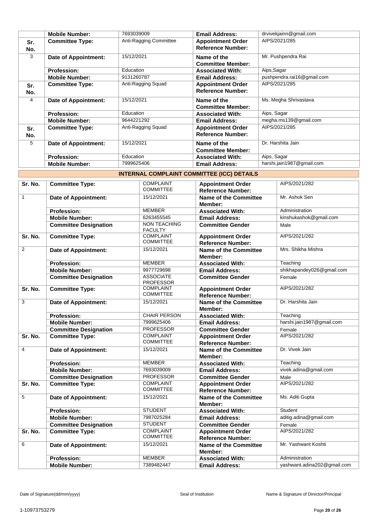|            | <b>Mobile Number:</b>  | 7693039009             | <b>Email Address:</b>                                | drvivekjainn@gmail.com     |
|------------|------------------------|------------------------|------------------------------------------------------|----------------------------|
| Sr.<br>No. | <b>Committee Type:</b> | Anti-Ragging Committee | <b>Appointment Order</b><br><b>Reference Number:</b> | AIPS/2021/285              |
| 3          | Date of Appointment:   | 15/12/2021             | Name of the<br><b>Committee Member:</b>              | Mr. Pushpendra Rai         |
|            | <b>Profession:</b>     | Education              | <b>Associated With:</b>                              | Aips, Sagar                |
|            | <b>Mobile Number:</b>  | 9131260787             | <b>Email Address:</b>                                | pushpendra.rai16@gmail.com |
| Sr.<br>No. | <b>Committee Type:</b> | Anti-Ragging Squad     | <b>Appointment Order</b><br><b>Reference Number:</b> | AIPS/2021/285              |
| 4          | Date of Appointment:   | 15/12/2021             | Name of the<br><b>Committee Member:</b>              | Ms. Megha Shrivastava      |
|            | <b>Profession:</b>     | Education              | <b>Associated With:</b>                              | Aips, Sagar                |
|            | <b>Mobile Number:</b>  | 9644221292             | <b>Email Address:</b>                                | megha.ms139@gmail.com      |
| Sr.<br>No. | <b>Committee Type:</b> | Anti-Ragging Squad     | <b>Appointment Order</b><br><b>Reference Number:</b> | AIPS/2021/285              |
| 5          | Date of Appointment:   | 15/12/2021             | Name of the<br><b>Committee Member:</b>              | Dr. Harshita Jain          |
|            | <b>Profession:</b>     | Education              | <b>Associated With:</b>                              | Aips, Sagar                |
|            | <b>Mobile Number:</b>  | 7999625406             | <b>Email Address:</b>                                | harshi.jain1987@gmail.com  |

| INTERNAL COMPLAINT COMMITTEE (ICC) DETAILS |
|--------------------------------------------|
|--------------------------------------------|

| Sr. No.        | <b>Committee Type:</b>       | <b>COMPLAINT</b><br><b>COMMITTEE</b>  | <b>Appointment Order</b><br><b>Reference Number:</b> | AIPS/2021/282               |
|----------------|------------------------------|---------------------------------------|------------------------------------------------------|-----------------------------|
| $\mathbf{1}$   | <b>Date of Appointment:</b>  | 15/12/2021                            | <b>Name of the Committee</b><br>Member:              | Mr. Ashok Sen               |
|                | <b>Profession:</b>           | <b>MEMBER</b>                         | <b>Associated With:</b>                              | Administration              |
|                | <b>Mobile Number:</b>        | 6263455545                            | <b>Email Address:</b>                                | kinshukashok@gmail.com      |
|                | <b>Committee Designation</b> | <b>NON TEACHING</b><br><b>FACULTY</b> | <b>Committee Gender</b>                              | Male                        |
| Sr. No.        | <b>Committee Type:</b>       | <b>COMPLAINT</b><br><b>COMMITTEE</b>  | <b>Appointment Order</b><br><b>Reference Number:</b> | AIPS/2021/282               |
| $\overline{2}$ | <b>Date of Appointment:</b>  | 15/12/2021                            | <b>Name of the Committee</b><br>Member:              | Mrs. Shikha Mishra          |
|                | <b>Profession:</b>           | <b>MEMBER</b>                         | <b>Associated With:</b>                              | Teaching                    |
|                | <b>Mobile Number:</b>        | 9977729698                            | <b>Email Address:</b>                                | shikhapandey026@gmail.com   |
|                | <b>Committee Designation</b> | <b>ASSOCIATE</b><br><b>PROFESSOR</b>  | <b>Committee Gender</b>                              | Female                      |
| Sr. No.        | <b>Committee Type:</b>       | <b>COMPLAINT</b><br><b>COMMITTEE</b>  | <b>Appointment Order</b><br><b>Reference Number:</b> | AIPS/2021/282               |
| 3              | <b>Date of Appointment:</b>  | 15/12/2021                            | <b>Name of the Committee</b><br>Member:              | Dr. Harshita Jain           |
|                | <b>Profession:</b>           | <b>CHAIR PERSON</b>                   | <b>Associated With:</b>                              | Teaching                    |
|                | <b>Mobile Number:</b>        | 7999625406                            | <b>Email Address:</b>                                | harshi.jain1987@gmail.com   |
|                | <b>Committee Designation</b> | <b>PROFESSOR</b>                      | <b>Committee Gender</b>                              | Female                      |
| Sr. No.        | Committee Type:              | <b>COMPLAINT</b><br><b>COMMITTEE</b>  | <b>Appointment Order</b><br><b>Reference Number:</b> | AIPS/2021/282               |
| $\overline{4}$ | <b>Date of Appointment:</b>  | 15/12/2021                            | <b>Name of the Committee</b><br>Member:              | Dr. Vivek Jain              |
|                | <b>Profession:</b>           | <b>MEMBER</b>                         | <b>Associated With:</b>                              | Teaching                    |
|                | <b>Mobile Number:</b>        | 7693039009                            | <b>Email Address:</b>                                | vivek.adina@gmail.com       |
|                | <b>Committee Designation</b> | <b>PROFESSOR</b>                      | <b>Committee Gender</b>                              | Male                        |
| Sr. No.        | <b>Committee Type:</b>       | <b>COMPLAINT</b><br><b>COMMITTEE</b>  | <b>Appointment Order</b><br><b>Reference Number:</b> | AIPS/2021/282               |
| 5              | <b>Date of Appointment:</b>  | 15/12/2021                            | Name of the Committee<br>Member:                     | Ms. Aditi Gupta             |
|                | <b>Profession:</b>           | <b>STUDENT</b>                        | <b>Associated With:</b>                              | <b>Student</b>              |
|                | <b>Mobile Number:</b>        | 7987025284                            | <b>Email Address:</b>                                | aditig.adina@gmail.com      |
|                | <b>Committee Designation</b> | <b>STUDENT</b>                        | <b>Committee Gender</b>                              | Female                      |
| Sr. No.        | <b>Committee Type:</b>       | <b>COMPLAINT</b><br><b>COMMITTEE</b>  | <b>Appointment Order</b><br><b>Reference Number:</b> | AIPS/2021/282               |
| 6              | <b>Date of Appointment:</b>  | 15/12/2021                            | <b>Name of the Committee</b><br>Member:              | Mr. Yashwant Koshti         |
|                | <b>Profession:</b>           | <b>MEMBER</b>                         | <b>Associated With:</b>                              | Administration              |
|                | <b>Mobile Number:</b>        | 7389482447                            | <b>Email Address:</b>                                | yashwant.adina202@gmail.com |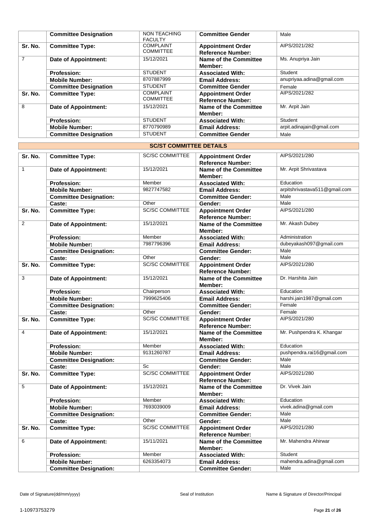|                | <b>Committee Designation</b> | NON TEACHING<br><b>FACULTY</b>       | <b>Committee Gender</b>                              | Male                      |
|----------------|------------------------------|--------------------------------------|------------------------------------------------------|---------------------------|
| Sr. No.        | <b>Committee Type:</b>       | <b>COMPLAINT</b><br><b>COMMITTEE</b> | <b>Appointment Order</b><br><b>Reference Number:</b> | AIPS/2021/282             |
| $\overline{7}$ | <b>Date of Appointment:</b>  | 15/12/2021                           | Name of the Committee<br>Member:                     | Ms. Anupriya Jain         |
|                | <b>Profession:</b>           | <b>STUDENT</b>                       | <b>Associated With:</b>                              | Student                   |
|                | <b>Mobile Number:</b>        | 8707887999                           | <b>Email Address:</b>                                | anupriyaa.adina@gmail.com |
|                | <b>Committee Designation</b> | <b>STUDENT</b>                       | <b>Committee Gender</b>                              | Female                    |
| Sr. No.        | <b>Committee Type:</b>       | <b>COMPLAINT</b><br><b>COMMITTEE</b> | <b>Appointment Order</b><br><b>Reference Number:</b> | AIPS/2021/282             |
| 8              | Date of Appointment:         | 15/12/2021                           | Name of the Committee<br>Member:                     | Mr. Arpit Jain            |
|                | <b>Profession:</b>           | <b>STUDENT</b>                       | <b>Associated With:</b>                              | Student                   |
|                | <b>Mobile Number:</b>        | 8770790989                           | <b>Email Address:</b>                                | arpit.adinajain@gmail.com |
|                | <b>Committee Designation</b> | <b>STUDENT</b>                       | <b>Committee Gender</b>                              | Male                      |

|                | <b>SC/ST COMMITTEE DETAILS</b> |                        |                                                      |                               |
|----------------|--------------------------------|------------------------|------------------------------------------------------|-------------------------------|
| Sr. No.        | <b>Committee Type:</b>         | <b>SC/SC COMMITTEE</b> | <b>Appointment Order</b><br><b>Reference Number:</b> | AIPS/2021/280                 |
| $\mathbf{1}$   | <b>Date of Appointment:</b>    | 15/12/2021             | <b>Name of the Committee</b><br>Member:              | Mr. Arpit Shrivastava         |
|                | <b>Profession:</b>             | Member                 | <b>Associated With:</b>                              | Education                     |
|                | <b>Mobile Number:</b>          | 9827747582             | <b>Email Address:</b>                                | arpitshrivastava511@gmail.com |
|                | <b>Committee Designation:</b>  |                        | <b>Committee Gender:</b>                             | Male                          |
|                | Caste:                         | Other                  | Gender:                                              | Male                          |
| Sr. No.        | <b>Committee Type:</b>         | <b>SC/SC COMMITTEE</b> | <b>Appointment Order</b><br><b>Reference Number:</b> | AIPS/2021/280                 |
| 2              | <b>Date of Appointment:</b>    | 15/12/2021             | Name of the Committee<br>Member:                     | Mr. Akash Dubey               |
|                | <b>Profession:</b>             | Member                 | <b>Associated With:</b>                              | Administration                |
|                | <b>Mobile Number:</b>          | 7987796396             | <b>Email Address:</b>                                | dubeyakash097@gmail.com       |
|                | <b>Committee Designation:</b>  |                        | <b>Committee Gender:</b>                             | Male                          |
|                | Caste:                         | Other                  | Gender:                                              | Male                          |
| Sr. No.        | <b>Committee Type:</b>         | <b>SC/SC COMMITTEE</b> | <b>Appointment Order</b><br><b>Reference Number:</b> | AIPS/2021/280                 |
| 3              | <b>Date of Appointment:</b>    | 15/12/2021             | <b>Name of the Committee</b><br>Member:              | Dr. Harshita Jain             |
|                | <b>Profession:</b>             | Chairperson            | <b>Associated With:</b>                              | Education                     |
|                | <b>Mobile Number:</b>          | 7999625406             | <b>Email Address:</b>                                | harshi.jain1987@gmail.com     |
|                | <b>Committee Designation:</b>  |                        | <b>Committee Gender:</b>                             | Female                        |
|                | Caste:                         | Other                  | Gender:                                              | Female                        |
| Sr. No.        | <b>Committee Type:</b>         | <b>SC/SC COMMITTEE</b> | <b>Appointment Order</b><br><b>Reference Number:</b> | AIPS/2021/280                 |
| $\overline{4}$ | <b>Date of Appointment:</b>    | 15/12/2021             | <b>Name of the Committee</b><br>Member:              | Mr. Pushpendra K. Khangar     |
|                | <b>Profession:</b>             | Member                 | <b>Associated With:</b>                              | Education                     |
|                | <b>Mobile Number:</b>          | 9131260787             | <b>Email Address:</b>                                | pushpendra.rai16@gmail.com    |
|                | <b>Committee Designation:</b>  |                        | <b>Committee Gender:</b>                             | Male                          |
|                | Caste:                         | Sc                     | Gender:                                              | Male                          |
| Sr. No.        | <b>Committee Type:</b>         | <b>SC/SC COMMITTEE</b> | <b>Appointment Order</b><br><b>Reference Number:</b> | AIPS/2021/280                 |
| 5              | <b>Date of Appointment:</b>    | 15/12/2021             | <b>Name of the Committee</b><br>Member:              | Dr. Vivek Jain                |
|                | <b>Profession:</b>             | Member                 | <b>Associated With:</b>                              | Education                     |
|                | <b>Mobile Number:</b>          | 7693039009             | <b>Email Address:</b>                                | vivek.adina@gmail.com         |
|                | <b>Committee Designation:</b>  |                        | <b>Committee Gender:</b>                             | Male                          |
|                | Caste:                         | Other                  | Gender:                                              | Male                          |
| Sr. No.        | <b>Committee Type:</b>         | <b>SC/SC COMMITTEE</b> | <b>Appointment Order</b><br><b>Reference Number:</b> | AIPS/2021/280                 |
| 6              | Date of Appointment:           | 15/11/2021             | <b>Name of the Committee</b><br>Member:              | Mr. Mahendra Ahirwar          |
|                | Profession:                    | Member                 | <b>Associated With:</b>                              | Student                       |
|                | <b>Mobile Number:</b>          | 6263354073             | <b>Email Address:</b>                                | mahendra.adina@gmail.com      |
|                | <b>Committee Designation:</b>  |                        | <b>Committee Gender:</b>                             | Male                          |

٦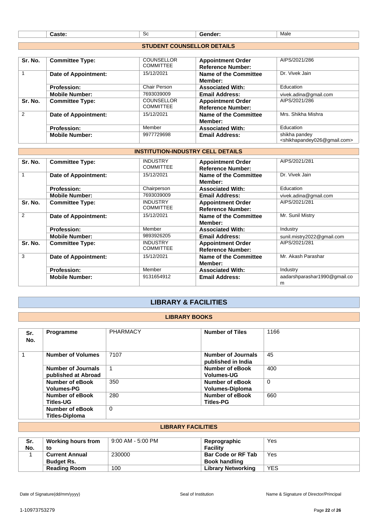|  | ັບປ | Male<br>$\sim$ $\sim$ $\sim$ |
|--|-----|------------------------------|
|  |     |                              |

## **STUDENT COUNSELLOR DETAILS**

| Sr. No.       | <b>Committee Type:</b>      | <b>COUNSELLOR</b> | <b>Appointment Order</b> | AIPS/2021/286                                           |
|---------------|-----------------------------|-------------------|--------------------------|---------------------------------------------------------|
|               |                             | <b>COMMITTEE</b>  | <b>Reference Number:</b> |                                                         |
| 1             | Date of Appointment:        | 15/12/2021        | Name of the Committee    | Dr. Vivek Jain                                          |
|               |                             |                   | <b>Member:</b>           |                                                         |
|               | <b>Profession:</b>          | Chair Person      | <b>Associated With:</b>  | Education                                               |
|               | <b>Mobile Number:</b>       | 7693039009        | <b>Email Address:</b>    | vivek.adina@gmail.com                                   |
| Sr. No.       | <b>Committee Type:</b>      | <b>COUNSELLOR</b> | <b>Appointment Order</b> | AIPS/2021/286                                           |
|               |                             | <b>COMMITTEE</b>  | <b>Reference Number:</b> |                                                         |
| $\mathcal{P}$ | <b>Date of Appointment:</b> | 15/12/2021        | Name of the Committee    | Mrs. Shikha Mishra                                      |
|               |                             |                   | Member:                  |                                                         |
|               | <b>Profession:</b>          | Member            | <b>Associated With:</b>  | Education                                               |
|               | <b>Mobile Number:</b>       | 9977729698        | <b>Email Address:</b>    | shikha pandey                                           |
|               |                             |                   |                          | <shikhapandey026@gmail.com></shikhapandey026@gmail.com> |

### **INSTITUTION-INDUSTRY CELL DETAILS**

| Sr. No. | <b>Committee Type:</b>      | <b>INDUSTRY</b>  | <b>Appointment Order</b> | AIPS/2021/281                |
|---------|-----------------------------|------------------|--------------------------|------------------------------|
|         |                             | <b>COMMITTEE</b> | <b>Reference Number:</b> |                              |
| 1       |                             | 15/12/2021       |                          | Dr. Vivek Jain               |
|         | Date of Appointment:        |                  | Name of the Committee    |                              |
|         |                             |                  | Member:                  |                              |
|         | <b>Profession:</b>          | Chairperson      | <b>Associated With:</b>  | Education                    |
|         | <b>Mobile Number:</b>       | 7693039009       | <b>Email Address:</b>    | vivek.adina@gmail.com        |
| Sr. No. | <b>Committee Type:</b>      | <b>INDUSTRY</b>  | <b>Appointment Order</b> | AIPS/2021/281                |
|         |                             | <b>COMMITTEE</b> | <b>Reference Number:</b> |                              |
| 2       | Date of Appointment:        | 15/12/2021       | Name of the Committee    | Mr. Sunil Mistry             |
|         |                             |                  | <b>Member:</b>           |                              |
|         |                             |                  |                          |                              |
|         | <b>Profession:</b>          | Member           | <b>Associated With:</b>  | Industry                     |
|         | <b>Mobile Number:</b>       | 9893926205       | <b>Email Address:</b>    | sunil.mistry2022@gmail.com   |
| Sr. No. | <b>Committee Type:</b>      | <b>INDUSTRY</b>  | <b>Appointment Order</b> | AIPS/2021/281                |
|         |                             | <b>COMMITTEE</b> | <b>Reference Number:</b> |                              |
| 3       |                             | 15/12/2021       |                          | Mr. Akash Parashar           |
|         | <b>Date of Appointment:</b> |                  | Name of the Committee    |                              |
|         |                             |                  | Member:                  |                              |
|         | <b>Profession:</b>          | Member           | <b>Associated With:</b>  | Industry                     |
|         | <b>Mobile Number:</b>       | 9131654912       | <b>Email Address:</b>    | aadarshparashar1990@gmail.co |
|         |                             |                  |                          | m                            |

## **LIBRARY & FACILITIES**

#### **LIBRARY BOOKS**

| Sr.<br>No. | Programme                                        | <b>PHARMACY</b> | <b>Number of Tiles</b>                      | 1166 |
|------------|--------------------------------------------------|-----------------|---------------------------------------------|------|
|            | <b>Number of Volumes</b>                         | 7107            | Number of Journals<br>published in India    | 45   |
|            | <b>Number of Journals</b><br>published at Abroad | 1               | <b>Number of eBook</b><br><b>Volumes-UG</b> | 400  |
|            | <b>Number of eBook</b><br><b>Volumes-PG</b>      | 350             | Number of eBook<br><b>Volumes-Diploma</b>   | 0    |
|            | Number of eBook<br><b>Titles-UG</b>              | 280             | Number of eBook<br><b>Titles-PG</b>         | 660  |
|            | Number of eBook<br><b>Titles-Diploma</b>         | $\Omega$        |                                             |      |

### **LIBRARY FACILITIES**

| Sr.<br>No. | <b>Working hours from</b><br>to | 9:00 AM - 5:00 PM | Reprographic<br><b>Facility</b> | Yes        |
|------------|---------------------------------|-------------------|---------------------------------|------------|
|            | <b>Current Annual</b>           | 230000            | <b>Bar Code or RF Tab</b>       | Yes        |
|            | <b>Budget Rs.</b>               |                   | <b>Book handling</b>            |            |
|            | <b>Reading Room</b>             | 100               | Library Networking              | <b>YES</b> |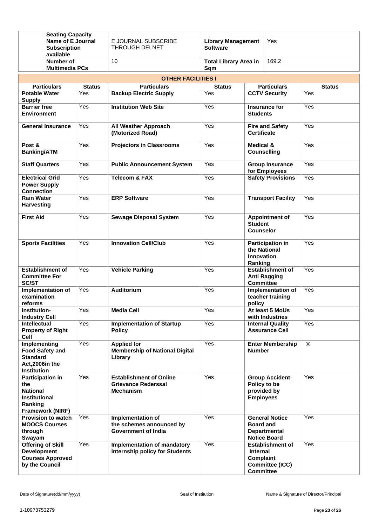|                                                                    | <b>Seating Capacity</b>                             |               |                                                                                    |                                              |                                                  |                                                                     |               |
|--------------------------------------------------------------------|-----------------------------------------------------|---------------|------------------------------------------------------------------------------------|----------------------------------------------|--------------------------------------------------|---------------------------------------------------------------------|---------------|
| Name of E Journal<br><b>Subscription</b><br>available              |                                                     |               | E JOURNAL SUBSCRIBE<br>THROUGH DELNET                                              | <b>Library Management</b><br><b>Software</b> |                                                  | Yes                                                                 |               |
|                                                                    | Number of<br><b>Multimedia PCs</b>                  |               | 10                                                                                 | 169.2<br><b>Total Library Area in</b><br>Sqm |                                                  |                                                                     |               |
| <b>OTHER FACILITIES I</b>                                          |                                                     |               |                                                                                    |                                              |                                                  |                                                                     |               |
|                                                                    | <b>Particulars</b>                                  | <b>Status</b> | <b>Particulars</b>                                                                 | <b>Status</b>                                |                                                  | <b>Particulars</b>                                                  | <b>Status</b> |
| <b>Potable Water</b>                                               |                                                     | Yes           | <b>Backup Electric Supply</b>                                                      | Yes                                          |                                                  | <b>CCTV Security</b>                                                | Yes           |
| <b>Supply</b>                                                      |                                                     |               |                                                                                    |                                              |                                                  |                                                                     |               |
| <b>Barrier free</b><br><b>Environment</b>                          |                                                     | Yes           | <b>Institution Web Site</b>                                                        | Yes                                          | <b>Students</b>                                  | Insurance for                                                       | Yes           |
|                                                                    | <b>General Insurance</b>                            | Yes           | <b>All Weather Approach</b><br>(Motorized Road)                                    | Yes                                          | <b>Certificate</b>                               | <b>Fire and Safety</b>                                              | Yes           |
| Post &<br><b>Banking/ATM</b>                                       |                                                     | Yes           | <b>Projectors in Classrooms</b>                                                    | Yes                                          | <b>Medical &amp;</b>                             | <b>Counselling</b>                                                  | Yes           |
| <b>Staff Quarters</b>                                              |                                                     | Yes           | <b>Public Announcement System</b>                                                  | Yes                                          |                                                  | <b>Group Insurance</b><br>for Employees                             | Yes           |
| <b>Electrical Grid</b><br><b>Power Supply</b><br><b>Connection</b> |                                                     | Yes           | <b>Telecom &amp; FAX</b>                                                           | Yes                                          |                                                  | <b>Safety Provisions</b>                                            | Yes           |
| <b>Rain Water</b><br><b>Harvesting</b>                             |                                                     | Yes           | <b>ERP Software</b>                                                                | Yes                                          |                                                  | <b>Transport Facility</b>                                           | Yes           |
| <b>First Aid</b>                                                   |                                                     | Yes           | <b>Sewage Disposal System</b>                                                      | Yes                                          | <b>Student</b><br><b>Counselor</b>               | <b>Appointment of</b>                                               | Yes           |
|                                                                    | <b>Sports Facilities</b>                            | Yes           | <b>Innovation Cell/Club</b>                                                        | Yes                                          | <b>Innovation</b><br>Ranking                     | <b>Participation in</b><br>the National                             | Yes           |
| <b>Committee For</b><br><b>SC/ST</b>                               | <b>Establishment of</b>                             | Yes           | <b>Vehicle Parking</b>                                                             | Yes                                          | <b>Committee</b>                                 | <b>Establishment of</b><br><b>Anti Ragging</b>                      | Yes           |
| examination<br>reforms                                             | Implementation of                                   | Yes           | <b>Auditorium</b>                                                                  | Yes                                          | policy                                           | Implementation of<br>teacher training                               | Yes           |
| Institution-<br><b>Industry Cell</b>                               |                                                     | Yes           | <b>Media Cell</b>                                                                  | Yes                                          |                                                  | At least 5 MoUs<br>with Industries                                  | Yes           |
| <b>Intellectual</b><br>Cell                                        | <b>Property of Right</b>                            | Yes           | <b>Implementation of Startup</b><br><b>Policy</b>                                  | Yes                                          |                                                  | <b>Internal Quality</b><br><b>Assurance Cell</b>                    | Yes           |
| Implementing<br><b>Standard</b><br>Act,2006in the<br>Institution   | <b>Food Safety and</b>                              | Yes           | <b>Applied for</b><br><b>Membership of National Digital</b><br>Library             | Yes                                          | <b>Number</b>                                    | <b>Enter Membership</b>                                             | 30            |
| the<br><b>National</b><br>Institutional<br>Ranking                 | <b>Participation in</b><br>Framework (NIRF)         | Yes           | <b>Establishment of Online</b><br><b>Grievance Rederssal</b><br><b>Mechanism</b>   | Yes                                          | <b>Employees</b>                                 | <b>Group Accident</b><br>Policy to be<br>provided by                | Yes           |
| through<br>Swayam                                                  | <b>Provision to watch</b><br><b>MOOCS Courses</b>   | Yes           | <b>Implementation of</b><br>the schemes announced by<br><b>Government of India</b> | Yes                                          | <b>Board and</b>                                 | <b>General Notice</b><br><b>Departmental</b><br><b>Notice Board</b> | Yes           |
| <b>Development</b><br>by the Council                               | <b>Offering of Skill</b><br><b>Courses Approved</b> | Yes           | Implementation of mandatory<br>internship policy for Students                      | Yes                                          | <b>Internal</b><br>Complaint<br><b>Committee</b> | <b>Establishment of</b><br>Committee (ICC)                          | Yes           |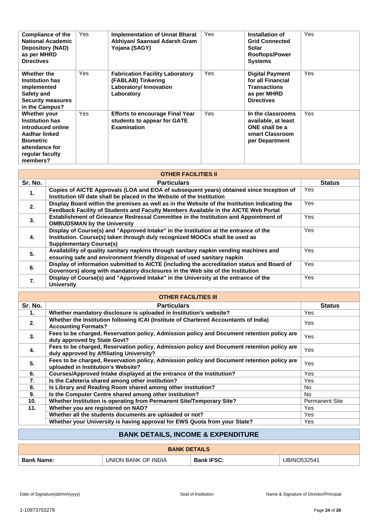| Compliance of the<br><b>National Academic</b><br><b>Depository (NAD)</b><br>as per MHRD<br><b>Directives</b>                                      | Yes | <b>Implementation of Unnat Bharat</b><br>Abhiyan/ Saansad Adarsh Gram<br>Yojana (SAGY)               | Yes | Installation of<br><b>Grid Connected</b><br>Solar<br><b>Rooftops/Power</b><br><b>Systems</b>           | <b>Yes</b> |
|---------------------------------------------------------------------------------------------------------------------------------------------------|-----|------------------------------------------------------------------------------------------------------|-----|--------------------------------------------------------------------------------------------------------|------------|
| Whether the<br><b>Institution has</b><br>implemented<br>Safety and<br><b>Security measures</b><br>in the Campus?                                  | Yes | <b>Fabrication Facility Laboratory</b><br>(FABLAB) Tinkering<br>Laboratory/ Innovation<br>Laboratory | Yes | <b>Digital Payment</b><br>for all Financial<br><b>Transactions</b><br>as per MHRD<br><b>Directives</b> | Yes        |
| Whether your<br><b>Institution has</b><br>introduced online<br>Aadhar linked<br><b>Biometric</b><br>attendance for<br>regular faculty<br>members? | Yes | <b>Efforts to encourage Final Year</b><br>students to appear for GATE<br><b>Examination</b>          | Yes | In the classrooms<br>available, at least<br>ONE shall be a<br>smart Classroom<br>per Department        | Yes        |

| <b>OTHER FACILITIES II</b> |                                                                                                                                                                                                       |               |  |  |
|----------------------------|-------------------------------------------------------------------------------------------------------------------------------------------------------------------------------------------------------|---------------|--|--|
| Sr. No.                    | <b>Particulars</b>                                                                                                                                                                                    | <b>Status</b> |  |  |
| 1.                         | Copies of AICTE Approvals (LOA and EOA of subsequent years) obtained since Inception of<br>Institution till date shall be placed in the Website of the Institution                                    | Yes.          |  |  |
| 2.                         | Display Board within the premises as well as in the Website of the Institution Indicating the<br>Feedback Facility of Students and Faculty Members Available in the AICTE Web Portal                  | Yes.          |  |  |
| 3.                         | Establishment of Grievance Redressal Committee in the Institution and Appointment of<br><b>OMBUDSMAN by the University</b>                                                                            | Yes.          |  |  |
| 4.                         | Display of Course(s) and "Approved Intake" in the Institution at the entrance of the<br>Institution. Course(s) taken through duly recognized MOOCs shall be used as<br><b>Supplementary Course(s)</b> | <b>Yes</b>    |  |  |
| 5.                         | Availability of quality sanitary napkins through sanitary napkin vending machines and<br>ensuring safe and environment friendly disposal of used sanitary napkin                                      | <b>Yes</b>    |  |  |
| 6.                         | Display of information submitted to AICTE (including the accreditation status and Board of<br>Governors) along with mandatory disclosures in the Web site of the Institution                          | Yes           |  |  |
| 7.                         | Display of Course(s) and "Approved Intake" in the University at the entrance of the<br><b>University</b>                                                                                              | Yes           |  |  |

| <b>OTHER FACILITIES III</b> |                                                                                                                                        |                       |  |  |
|-----------------------------|----------------------------------------------------------------------------------------------------------------------------------------|-----------------------|--|--|
| Sr. No.                     | <b>Particulars</b>                                                                                                                     | <b>Status</b>         |  |  |
| 1.                          | Whether mandatory disclosure is uploaded in Institution's website?                                                                     | Yes                   |  |  |
| 2.                          | Whether the Institution following ICAI (Institute of Chartered Accountants of India)<br><b>Accounting Formats?</b>                     | Yes                   |  |  |
| 3.                          | Fees to be charged, Reservation policy, Admission policy and Document retention policy are<br>duly approved by State Govt?             | <b>Yes</b>            |  |  |
| 4.                          | Fees to be charged, Reservation policy, Admission policy and Document retention policy are<br>duly approved by Affiliating University? | <b>Yes</b>            |  |  |
| 5.                          | Fees to be charged, Reservation policy, Admission policy and Document retention policy are<br>uploaded in Institution's Website?       | Yes                   |  |  |
| 6.                          | Courses/Approved Intake displayed at the entrance of the Institution?                                                                  | <b>Yes</b>            |  |  |
| 7.                          | Is the Cafeteria shared among other institution?                                                                                       | Yes                   |  |  |
| 8.                          | Is Library and Reading Room shared among other institution?                                                                            | No.                   |  |  |
| 9.                          | Is the Computer Centre shared among other institution?                                                                                 | No.                   |  |  |
| 10 <sub>1</sub>             | Whether Institution is operating from Permanent Site/Temporary Site?                                                                   | <b>Permanent Site</b> |  |  |
| 11.                         | Whether you are registered on NAD?                                                                                                     | <b>Yes</b>            |  |  |
|                             | Whether all the students documents are uploaded or not?                                                                                | Yes                   |  |  |
|                             | Whether your University is having approval for EWS Quota from your State?                                                              | Yes                   |  |  |

## **BANK DETAILS, INCOME & EXPENDITURE**

| <b>BANK DETAILS</b> |                     |                   |             |  |  |
|---------------------|---------------------|-------------------|-------------|--|--|
| <b>Bank Name:</b>   | UNION BANK OF INDIA | <b>Bank IFSC:</b> | UBINO532541 |  |  |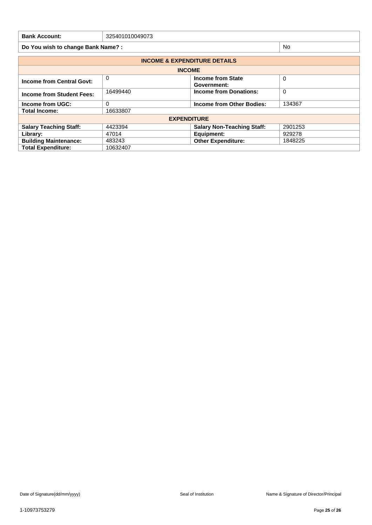| <b>Bank Account:</b>             | 325401010049073                                 |                                   |          |  |  |  |
|----------------------------------|-------------------------------------------------|-----------------------------------|----------|--|--|--|
|                                  | <b>No</b><br>Do You wish to change Bank Name? : |                                   |          |  |  |  |
|                                  | <b>INCOME &amp; EXPENDITURE DETAILS</b>         |                                   |          |  |  |  |
| <b>INCOME</b>                    |                                                 |                                   |          |  |  |  |
| <b>Income from Central Govt:</b> | 0                                               | Income from State<br>Government:  | $\Omega$ |  |  |  |
| <b>Income from Student Fees:</b> | 16499440                                        | <b>Income from Donations:</b>     | 0        |  |  |  |
| Income from UGC:                 | 0                                               | Income from Other Bodies:         | 134367   |  |  |  |
| <b>Total Income:</b>             | 16633807                                        |                                   |          |  |  |  |
|                                  | <b>EXPENDITURE</b>                              |                                   |          |  |  |  |
| <b>Salary Teaching Staff:</b>    | 4423394                                         | <b>Salary Non-Teaching Staff:</b> | 2901253  |  |  |  |
| Library:                         | 47014                                           | Equipment:                        | 929278   |  |  |  |
| <b>Building Maintenance:</b>     | 483243                                          | <b>Other Expenditure:</b>         | 1848225  |  |  |  |
| <b>Total Expenditure:</b>        | 10632407                                        |                                   |          |  |  |  |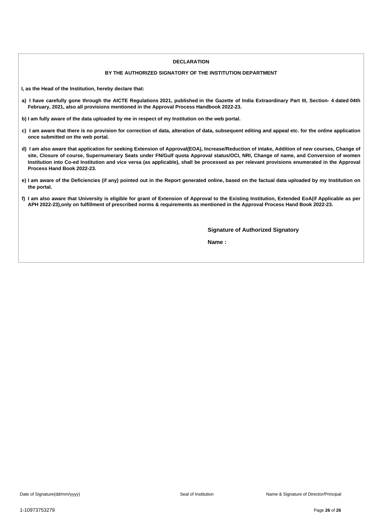#### **DECLARATION**

#### **BY THE AUTHORIZED SIGNATORY OF THE INSTITUTION DEPARTMENT**

**I, as the Head of the Institution, hereby declare that:**

- a) I have carefully gone through the AICTE Regulations 2021, published in the Gazette of India Extraordinary Part III, Section- 4 dated 04th **February, 2021, also all provisions mentioned in the Approval Process Handbook 2022-23.**
- b) I am fully aware of the data uploaded by me in respect of my Institution on the web portal.
- c) I am aware that there is no provision for correction of data, alteration of data, subsequent editing and appeal etc. for the online application **once submitted on the web portal.**
- d) I am also aware that application for seeking Extension of Approval(EOA), Increase/Reduction of intake, Addition of new courses, Change of site, Closure of course, Supernumerary Seats under FN/Gulf quota Approval status/OCI, NRI, Change of name, and Conversion of women Institution into Co-ed Institution and vice versa (as applicable), shall be processed as per relevant provisions enumerated in the Approval **Process Hand Book 2022-23.**
- e) I am aware of the Deficiencies (if any) pointed out in the Report generated online, based on the factual data uploaded by my Institution on **the portal.**
- f) I am also aware that University is eligible for grant of Extension of Approval to the Existing Institution, Extended EoA(if Applicable as per APH 2022-23), only on fulfillment of prescribed norms & requirements as mentioned in the Approval Process Hand Book 2022-23.

**Signature of Authorized Signatory**

**Name :**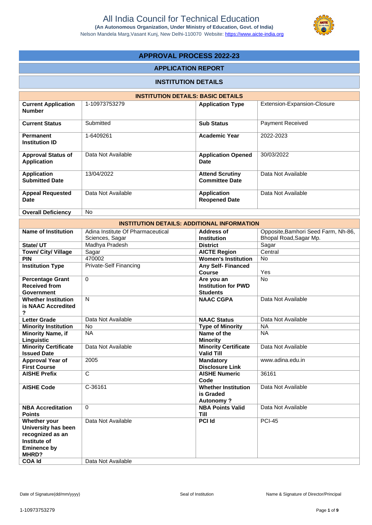

## **APPROVAL PROCESS 2022-23**

### **APPLICATION REPORT**

### **INSTITUTION DETAILS**

| <b>INSTITUTION DETAILS: BASIC DETAILS</b>       |                    |                                                 |                             |  |  |
|-------------------------------------------------|--------------------|-------------------------------------------------|-----------------------------|--|--|
| <b>Current Application</b><br><b>Number</b>     | 1-10973753279      | <b>Application Type</b>                         | Extension-Expansion-Closure |  |  |
| <b>Current Status</b>                           | Submitted          | <b>Sub Status</b>                               | <b>Payment Received</b>     |  |  |
| <b>Permanent</b><br><b>Institution ID</b>       | 1-6409261          | <b>Academic Year</b>                            | 2022-2023                   |  |  |
| <b>Approval Status of</b><br><b>Application</b> | Data Not Available | <b>Application Opened</b><br><b>Date</b>        | 30/03/2022                  |  |  |
| <b>Application</b><br><b>Submitted Date</b>     | 13/04/2022         | <b>Attend Scrutiny</b><br><b>Committee Date</b> | Data Not Available          |  |  |
| <b>Appeal Requested</b><br><b>Date</b>          | Data Not Available | <b>Application</b><br><b>Reopened Date</b>      | Data Not Available          |  |  |
| <b>Overall Deficiency</b>                       | No.                |                                                 |                             |  |  |

| <b>INSTITUTION DETAILS: ADDITIONAL INFORMATION</b> |                                   |                                             |                                     |  |  |
|----------------------------------------------------|-----------------------------------|---------------------------------------------|-------------------------------------|--|--|
| <b>Name of Institution</b>                         | Adina Institute Of Pharmaceutical | Address of                                  | Opposite, Bamhori Seed Farm, Nh-86, |  |  |
|                                                    | Sciences, Sagar                   | Institution                                 | Bhopal Road, Sagar Mp.              |  |  |
| State/ UT                                          | Madhya Pradesh                    | <b>District</b>                             | Sagar                               |  |  |
| <b>Town/ City/ Village</b>                         | Sagar                             | <b>AICTE Region</b>                         | Central                             |  |  |
| <b>PIN</b>                                         | 470002                            | <b>Women's Institution</b>                  | No                                  |  |  |
| <b>Institution Type</b>                            | <b>Private-Self Financing</b>     | <b>Any Self- Financed</b>                   |                                     |  |  |
|                                                    |                                   | <b>Course</b>                               | Yes                                 |  |  |
| <b>Percentage Grant</b>                            | $\Omega$                          | Are you an                                  | <b>No</b>                           |  |  |
| <b>Received from</b>                               |                                   | <b>Institution for PWD</b>                  |                                     |  |  |
| <b>Government</b>                                  |                                   | <b>Students</b>                             |                                     |  |  |
| <b>Whether Institution</b>                         | N                                 | <b>NAAC CGPA</b>                            | Data Not Available                  |  |  |
| is NAAC Accredited                                 |                                   |                                             |                                     |  |  |
| ?                                                  |                                   |                                             |                                     |  |  |
| <b>Letter Grade</b>                                | Data Not Available                | <b>NAAC Status</b>                          | Data Not Available                  |  |  |
| <b>Minority Institution</b>                        | <b>No</b>                         | <b>Type of Minority</b>                     | <b>NA</b>                           |  |  |
| <b>Minority Name, if</b>                           | <b>NA</b>                         | Name of the                                 | <b>NA</b>                           |  |  |
| Linguistic                                         |                                   | <b>Minority</b>                             |                                     |  |  |
| <b>Minority Certificate</b>                        | Data Not Available                | <b>Minority Certificate</b>                 | Data Not Available                  |  |  |
| <b>Issued Date</b>                                 |                                   | <b>Valid Till</b>                           |                                     |  |  |
| Approval Year of                                   | 2005                              | <b>Mandatory</b>                            | www.adina.edu.in                    |  |  |
| <b>First Course</b>                                |                                   | <b>Disclosure Link</b>                      |                                     |  |  |
| <b>AISHE Prefix</b>                                | $\mathsf{C}$                      | <b>AISHE Numeric</b>                        | 36161                               |  |  |
|                                                    |                                   | Code                                        |                                     |  |  |
| <b>AISHE Code</b>                                  | C-36161                           | <b>Whether Institution</b><br>is Graded     | Data Not Available                  |  |  |
|                                                    |                                   |                                             |                                     |  |  |
| <b>NBA Accreditation</b>                           | $\Omega$                          | <b>Autonomy?</b><br><b>NBA Points Valid</b> | Data Not Available                  |  |  |
| <b>Points</b>                                      |                                   | <b>Till</b>                                 |                                     |  |  |
| Whether your                                       | Data Not Available                | <b>PCI Id</b>                               | <b>PCI-45</b>                       |  |  |
| University has been                                |                                   |                                             |                                     |  |  |
| recognized as an                                   |                                   |                                             |                                     |  |  |
| Institute of                                       |                                   |                                             |                                     |  |  |
| <b>Eminence by</b>                                 |                                   |                                             |                                     |  |  |
| MHRD?                                              |                                   |                                             |                                     |  |  |
| <b>COA Id</b>                                      | Data Not Available                |                                             |                                     |  |  |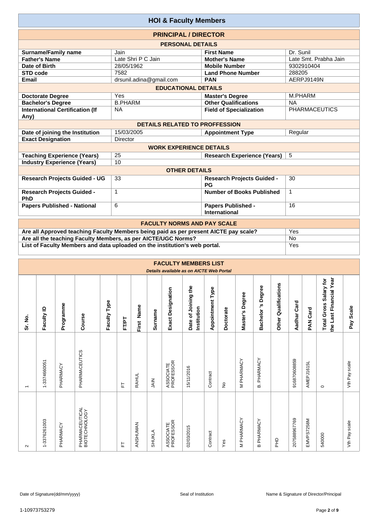| <b>HOI &amp; Faculty Members</b>               |                                       |                                                   |                       |  |  |
|------------------------------------------------|---------------------------------------|---------------------------------------------------|-----------------------|--|--|
|                                                | <b>PRINCIPAL / DIRECTOR</b>           |                                                   |                       |  |  |
|                                                | <b>PERSONAL DETAILS</b>               |                                                   |                       |  |  |
| <b>Surname/Family name</b>                     | Jain                                  | <b>First Name</b>                                 | Dr. Sunil             |  |  |
| <b>Father's Name</b>                           | Late Shri P C Jain                    | <b>Mother's Name</b>                              | Late Smt. Prabha Jain |  |  |
| Date of Birth                                  | 28/05/1962                            | <b>Mobile Number</b>                              | 9302910404            |  |  |
| <b>STD code</b>                                | 7582                                  | <b>Land Phone Number</b>                          | 288205                |  |  |
| Email                                          | drsunil.adina@gmail.com               | <b>PAN</b>                                        | AERPJ9149N            |  |  |
| <b>EDUCATIONAL DETAILS</b>                     |                                       |                                                   |                       |  |  |
| <b>Doctorate Degree</b>                        | Yes                                   | <b>Master's Degree</b>                            | M.PHARM               |  |  |
| <b>Bachelor's Degree</b>                       | <b>B.PHARM</b>                        | <b>Other Qualifications</b>                       | <b>NA</b>             |  |  |
| <b>International Certification (If</b><br>Any) | <b>NA</b>                             | <b>Field of Specialization</b>                    | <b>PHARMACEUTICS</b>  |  |  |
|                                                | <b>DETAILS RELATED TO PROFFESSION</b> |                                                   |                       |  |  |
| Date of joining the Institution                | 15/03/2005                            | <b>Appointment Type</b>                           | Regular               |  |  |
| <b>Exact Designation</b>                       | <b>Director</b>                       |                                                   |                       |  |  |
|                                                | <b>WORK EXPERIENCE DETAILS</b>        |                                                   |                       |  |  |
| <b>Teaching Experience (Years)</b>             | 25                                    | <b>Research Experience (Years)</b>                | 5                     |  |  |
| <b>Industry Experience (Years)</b>             | 10                                    |                                                   |                       |  |  |
|                                                | <b>OTHER DETAILS</b>                  |                                                   |                       |  |  |
| <b>Research Projects Guided - UG</b>           | 33                                    | <b>Research Projects Guided -</b><br>PG           | 30                    |  |  |
| <b>Research Projects Guided -</b><br>PhD       | 1                                     | Number of Books Published                         | $\mathbf{1}$          |  |  |
| <b>Papers Published - National</b>             | 6                                     | <b>Papers Published -</b><br><b>International</b> | 16                    |  |  |
|                                                | <b>EACHLITY NODMS AND BAY SCALE</b>   |                                                   |                       |  |  |

| <b>FACULTY NORMS AND PAY SCALE</b>                                                   |     |  |  |  |
|--------------------------------------------------------------------------------------|-----|--|--|--|
| Are all Approved teaching Faculty Members being paid as per present AICTE pay scale? | Yes |  |  |  |
| Are all the teaching Faculty Members, as per AICTE/UGC Norms?                        | No  |  |  |  |
| List of Faculty Members and data uploaded on the institution's web portal.           | Yes |  |  |  |

|                          |              |           |                                 |              |       |              |                |                          | <b>FACULTY MEMBERS LIST</b><br>Details available as on AICTE Web Portal |                         |           |                 |                   |                         |              |             |                                                   |               |
|--------------------------|--------------|-----------|---------------------------------|--------------|-------|--------------|----------------|--------------------------|-------------------------------------------------------------------------|-------------------------|-----------|-----------------|-------------------|-------------------------|--------------|-------------|---------------------------------------------------|---------------|
| Sr. No.                  | Faculty ID   | Programme | Course                          | Faculty Type | FT/PT | First Name   | <b>Surname</b> | <b>Exact Designation</b> | Date of Joining the<br>Institution                                      | <b>Appointment Type</b> | Doctorate | Master's Degree | Bachelor's Degree | Qualifications<br>Other | Aadhar Card  | Card<br>MAR | the Last Financial Year<br>Total Gross Salary for | Scale<br>Pay  |
| $\overline{\phantom{0}}$ | 1-3374660051 | PHARMACY  | PHARMACEUTICS                   |              | ᄂ     | <b>RAHUL</b> | M              | ASSOCIATE<br>PROFESSOR   | 15/11/2016                                                              | Contract                | ş         | PHARMACY<br>Σ   | PHARMACY<br>മ്    |                         | 916870608859 | AMEPJ1615L  | $\circ$                                           | Vth Pay scale |
| $\sim$                   | 1-3376261003 | PHARMACY  | PHARMACEUTICAL<br>BIOTECHNOLOGY |              | 뉸     | ANSHUMAN     | SHUKLA         | ASSOCIATE<br>PROFESSOR   | 02/03/2015                                                              | Contract                | Yes       | PHARMACY<br>Σ   | PHARMACY<br>മ     | 운                       | 207588967769 | EMVPS7258M  | 540000                                            | Vth Pay scale |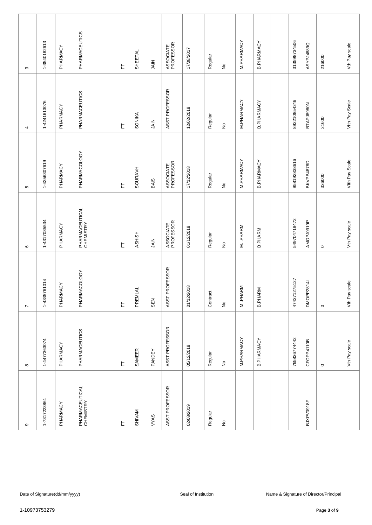| ၜ                           | $\infty$                | $\overline{ }$             | $\mathbf  \omega$               | 5                          | 4                          | S                      |
|-----------------------------|-------------------------|----------------------------|---------------------------------|----------------------------|----------------------------|------------------------|
| 1-7317223861                | 1-4477363074            | 1-4335761014               | 1-4317085534                    | 1-4256307619               | 1-4241613076               | 1-3540182613           |
| PHARMACY                    | PHARMACY                | PHARMACY                   | PHARMACY                        | PHARMACY                   | PHARMACY                   | PHARMACY               |
| PHARMACEUTICAL<br>CHEMISTRY | PHARMACEUTICS           | <b>PHARMACOLOGY</b>        | PHARMACEUTICAL<br>CHEMISTRY     | PHARMACOLOGY               | PHARMACEUTICS              | PHARMACEUTICS          |
|                             |                         |                            |                                 |                            |                            |                        |
| 匸                           | $\overline{\mathbb{L}}$ | $\overleftarrow{\text{L}}$ | 눈                               | 上                          | 岀                          | 上                      |
| <b>SHIVAM</b>               | SAMEER                  | <b>PREMLAL</b>             | <b>ASHISH</b>                   | <b>SOURAVH</b>             | SONIKA                     | SHEETAL                |
| <b>VYAS</b>                 | PANDEY                  | SEN                        | <b>NIAL</b>                     | BAIS                       | SIN                        | SIAIN                  |
| ASST PROFESSOR              | ASST PROFESSOR          | ASST PROFESSOR             | ASSOCIATE<br>PROFESSOR          | ASSOCIATE<br>PROFESSOR     | ASST PROFESSOR             | ASSOCIATE<br>PROFESSOR |
| 02/08/2019                  | 05/12/2018              | 01/12/2018                 | 01/12/2018                      | 17/12/2018                 | 12/02/2018                 | 17/08/2017             |
| Regular                     | Regular                 | Contract                   | Regular                         | Regular                    | Regular                    | Regular                |
| $\hat{z}$                   | $\hat{\mathsf{z}}$      | $\stackrel{\mathtt{o}}{z}$ | $\frac{\mathsf{O}}{\mathsf{E}}$ | $\stackrel{\circ}{\simeq}$ | $\stackrel{\circ}{\simeq}$ | $\hat{z}$              |
|                             | M.PHARMACY              | M. PHARM                   | M. PHARM                        | M.PHARMACY                 | M.PHARMACY                 | M. PHARMACY            |
|                             | <b>B.PHARMACY</b>       | <b>B.PHARM</b>             | <b>B.PHARM</b>                  | <b>B.PHARMACY</b>          | <b>B.PHARMACY</b>          | <b>B.PHARMACY</b>      |
|                             |                         |                            |                                 |                            |                            |                        |
|                             | 795836774442            | 474371275127               | 549704718472                    | 958192838616               | 892210854246               | 313598734506           |
| BJXPV0918F                  | CFOPP4110B              | DMOPP2814L                 | AMOPJ0919P                      | BKVPB4878D                 | <b>BTAPJ8980N</b>          | ASYPJ4889Q             |
|                             | $\circ$                 | $\circ$                    | $\circ$                         | 336000                     | 21600                      | 216000                 |
|                             | Vth Pay scale           | Vth Pay scale              | Vth Pay scale                   | Vith Pay Scale             | Vith Pay Scale             | Vth Pay scale          |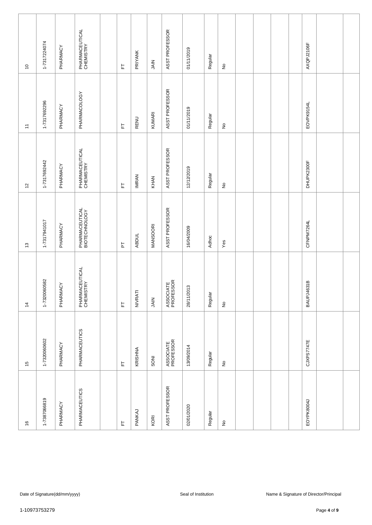| $\overline{\phantom{0}}$  | 1-7317224074  | PHARMACY                      | PHARMACEUTICAL<br>CHEMISTRY     | $\overline{\mathbb{L}}$    | PRIYANK      | SIAIN      | ASST PROFESSOR         | 01/11/2019          | Regular | $\hat{z}$                  |  |  | AXQPJ2106F |                                        |  |
|---------------------------|---------------|-------------------------------|---------------------------------|----------------------------|--------------|------------|------------------------|---------------------|---------|----------------------------|--|--|------------|----------------------------------------|--|
| $\overline{\phantom{a}}$  | 1-7317692296  | PHARMACY                      | PHARMACOLOGY                    | $\overleftarrow{\text{L}}$ | RENU         | KUMARI     | ASST PROFESSOR         | 01/11/2019          | Regular | $\stackrel{\mathtt{o}}{z}$ |  |  | EOVPK9154L |                                        |  |
| $\overline{\mathfrak{c}}$ | 1-7317692442  | PHARMACY                      | PHARMACEUTICAL<br>CHEMISTRY     | 上                          | <b>IMRAN</b> | KHAN       | ASST PROFESSOR         | 12/12/2019          | Regular | $\stackrel{\mathtt{o}}{z}$ |  |  | DHUPK2300F |                                        |  |
| $\frac{3}{2}$             | 1-7317941017  | PHARMACY                      | PHARMACEUTICAL<br>BIOTECHNOLOGY | $\overline{L}$             | <b>ABDUL</b> | MANSOORI   | ASST PROFESSOR         | 16/04/2009          | Adhoc   | Yes                        |  |  | CFNPM7264L |                                        |  |
| $\dot{z}$                 | 1-7320060582  | PHARMACY                      | PHARMACEUTICAL<br>CHEMISTRY     | $\overleftarrow{\text{L}}$ | NIVRATI      | SIAN       | ASSOCIATE<br>PROFESSOR | 28/11/2013          | Regular | $\stackrel{\mathtt{o}}{z}$ |  |  | BAUPJ4631B |                                        |  |
| $\frac{5}{1}$             | 1-7320060602  | PHARMACY                      | PHARMACEUTICS                   | $\overline{\mathbb{L}}$    | KRISHNA      | <b>NOS</b> | ASSOCIATE<br>PROFESSOR | 13/09/2014          | Regular | $\frac{\circ}{\sim}$       |  |  | CJXPS7747E |                                        |  |
| $\frac{6}{2}$             | 1-7387066819  | PHARMACY                      | PHARMACEUTICS                   | $\overline{\mathbb{F}}$    | PANKAJ       | KORI       | ASST PROFESSOR         | 02/01/2020          | Regular | $\hat{\mathsf{z}}$         |  |  | EOYPK8004J |                                        |  |
|                           |               |                               |                                 |                            |              |            |                        |                     |         |                            |  |  |            |                                        |  |
|                           |               | Date of Signature(dd/mm/yyyy) |                                 |                            |              |            |                        | Seal of Institution |         |                            |  |  |            | Name & Signature of Director/Principal |  |
|                           | 1-10973753279 |                               |                                 |                            |              |            |                        |                     |         |                            |  |  |            | Page 4 of 9                            |  |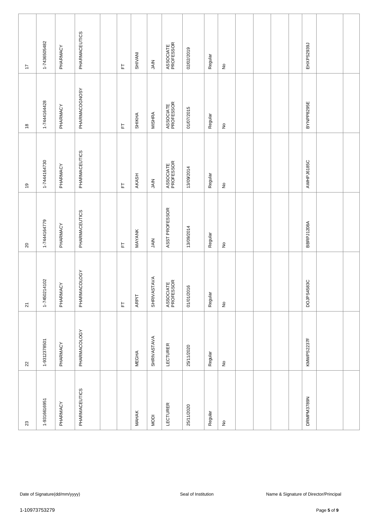| $\overline{\phantom{a}}$       | 1-7436505482  | PHARMACY                      | PHARMACEUTICS       | L                          | <b>SHIVANI</b> | SIAN          | ASSOCIATE<br>PROFESSOR | 02/02/2019          | Regular | $\frac{\circ}{\sim}$       |  |  | EHXPS2939J |                                        |  |
|--------------------------------|---------------|-------------------------------|---------------------|----------------------------|----------------|---------------|------------------------|---------------------|---------|----------------------------|--|--|------------|----------------------------------------|--|
| $\overset{\circ}{\phantom{a}}$ | 1-7444164428  | PHARMACY                      | PHARMACOGNOSY       | 匸                          | SHIKHA         | <b>MISHRA</b> | ASSOCIATE<br>PROFESSOR | 01/07/2015          | Regular | $\stackrel{\mathtt{o}}{z}$ |  |  | BYNPP8295E |                                        |  |
| $\overline{9}$                 | 1-7444164730  | PHARMACY                      | PHARMACEUTICS       | 匸                          | AKASH          | SIAN          | ASSOCIATE<br>PROFESSOR | 13/09/2014          | Regular | $\stackrel{\mathtt{o}}{z}$ |  |  | AWHPJ6185C |                                        |  |
| $20\,$                         | 1-7444164779  | PHARMACY                      | PHARMACEUTICS       | 匸                          | MAYANK         | $rac{Z}{3}$   | ASST PROFESSOR         | 13/09/2014          | Regular | $\stackrel{\mathtt{o}}{z}$ |  |  | BBRPJ1208A |                                        |  |
| $\overline{2}$                 | 1-7450214102  | PHARMACY                      | <b>PHARMACOLOGY</b> | $\overleftarrow{\text{L}}$ | ARPIT          | SHRIVASTAVA   | ASSOCIATE<br>PROFESSOR | 01/01/2016          | Regular | $\stackrel{\mathtt{o}}{z}$ |  |  | DOJPS4583C |                                        |  |
| $22$                           | 1-9312378501  | PHARMACY                      | PHARMACOLOGY        |                            | <b>MEGHA</b>   | SHRIVASTAVA   | <b>LECTURER</b>        | 25/11/2020          | Regular | $\frac{\circ}{\mathsf{Z}}$ |  |  | KMWPS2237F |                                        |  |
| $23\,$                         | 1-9316616951  | PHARMACY                      | PHARMACEUTICS       |                            | <b>MAHAK</b>   | <b>MODI</b>   | <b>LECTURER</b>        | 25/11/2020          | Regular | $\hat{\mathsf{z}}$         |  |  | DRMPM3789N |                                        |  |
|                                |               |                               |                     |                            |                |               |                        |                     |         |                            |  |  |            |                                        |  |
|                                |               | Date of Signature(dd/mm/yyyy) |                     |                            |                |               |                        | Seal of Institution |         |                            |  |  |            | Name & Signature of Director/Principal |  |
|                                | 1-10973753279 |                               |                     |                            |                |               |                        |                     |         |                            |  |  |            | Page 5 of 9                            |  |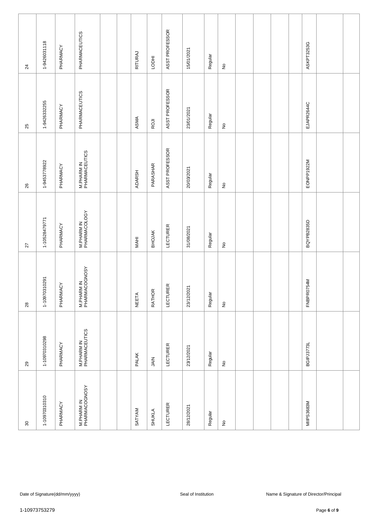| $\rm ^{30}$                 | 29                          | 28                          | $\overline{27}$             | 26                                  | 25                         | $\overline{24}$    |
|-----------------------------|-----------------------------|-----------------------------|-----------------------------|-------------------------------------|----------------------------|--------------------|
| 1-10970310310               | 1-10970310298               | 1-10970310291               | 1-10528479771               | 1-9453778922                        | 1-9426332255               | 1-9426031118       |
| PHARMACY                    | PHARMACY                    | PHARMACY                    | PHARMACY                    | PHARMACY                            | PHARMACY                   | PHARMACY           |
| M.PHARM IN<br>PHARMACOGNOSY | M.PHARM IN<br>PHARMACEUTICS | M.PHARM IN<br>PHARMACOGNOSY | M.PHARM IN<br>PHARMACOLOGY  | M.PHARM IN<br>PHARMACEUTICS         | PHARMACEUTICS              | PHARMACEUTICS      |
|                             |                             |                             |                             |                                     |                            |                    |
|                             |                             |                             |                             |                                     |                            |                    |
| SATYAM                      | PALAK                       | NEETA                       | <b>MAHI</b>                 | ADARSH                              | ASMA                       | RITURAJ            |
| SHUKLA                      | SIAIN                       | RATHOR                      | <b>BHOJAK</b>               | PARASHAR                            | ROJI                       | <b>HIODHI</b>      |
| <b>LECTURER</b>             | LECTURER                    | <b>LECTURER</b>             | <b>LECTURER</b>             | ASST PROFESSOR                      | ASST PROFESSOR             | ASST PROFESSOR     |
| 28/12/2021                  | 23/12/2021                  | 23/12/2021                  | 31/08/2021                  | 20/03/2021                          | 23/01/2021                 | 15/01/2021         |
| Regular                     | Regular                     | Regular                     | Regular                     | Regular                             | Regular                    | Regular            |
| $\hat{\mathsf{z}}$          | $\hat{\mathsf{z}}$          | $\stackrel{\mathtt{o}}{z}$  | $\stackrel{\circ}{\succeq}$ | $\stackrel{\mathtt{o}}{\mathsf{z}}$ | $\stackrel{\mathtt{o}}{z}$ | $\hat{\mathsf{z}}$ |
|                             |                             |                             |                             |                                     |                            |                    |
|                             |                             |                             |                             |                                     |                            |                    |
|                             |                             |                             |                             |                                     |                            |                    |
|                             |                             |                             |                             |                                     |                            |                    |
| MIIPS3683M                  | <b>BGIPJ3773L</b>           | FNBPR0754M                  | BQYPB2835D                  | EONPP1922M                          | EJAPR2644C                 | ASKPT3253G         |
|                             |                             |                             |                             |                                     |                            |                    |
|                             |                             |                             |                             |                                     |                            |                    |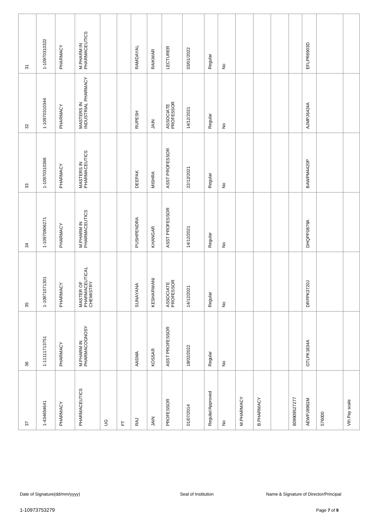| 5      | 1-10970310322 | PHARMACY                      | M.PHARM IN<br>PHARMACEUTICS              |             |   | RAMDAYAL      | RAIKWAR       | LECTURER               | 03/01/2022          | Regular          | $\frac{\circ}{\sim}$                |            |                   |              | EFLPR6903D |                                        |               |
|--------|---------------|-------------------------------|------------------------------------------|-------------|---|---------------|---------------|------------------------|---------------------|------------------|-------------------------------------|------------|-------------------|--------------|------------|----------------------------------------|---------------|
| $32\,$ | 1-10970310344 | PHARMACY                      | MASTERS IN<br>INDUSTRIAL PHARMACY        |             |   | <b>RUPESH</b> | <b>NIAL</b>   | ASSOCIATE<br>PROFESSOR | 14/12/2021          | Regular          | $\stackrel{\mathtt{o}}{\mathsf{z}}$ |            |                   |              | AJMPJ6424A |                                        |               |
| $33\,$ | 1-10970310366 | PHARMACY                      | MASTERS IN<br>PHARMACEUTICS              |             |   | <b>DEEPAK</b> | <b>MISHRA</b> | ASST PROFESSOR         | 22/12/2021          | Regular          | $\stackrel{\mathtt{o}}{\mathsf{z}}$ |            |                   |              | BAWPM4420P |                                        |               |
| 34     | 1-10970906271 | PHARMACY                      | M.PHARM IN<br>PHARMACEUTICS              |             |   | PUSHPENDRA    | KHANGAR       | ASST PROFESSOR         | 14/12/2021          | Regular          | $\stackrel{\circ}{\simeq}$          |            |                   |              | DHQPP0879A |                                        |               |
| 35     | 1-10971071301 | PHARMACY                      | MASTER OF<br>PHARMACEUTICAL<br>CHEMISTRY |             |   | SUNAYANA      | KESHARWANI    | ASSOCIATE<br>PROFESSOR | 14/12/2021          | Regular          | $\stackrel{\mathtt{o}}{z}$          |            |                   |              | DRPPK3720J |                                        |               |
| 36     | 1-11111713751 | PHARMACY                      | M.PHARM IN<br>PHARMACOGNOSY              |             |   | AASMA         | KOSSAR        | ASST PROFESSOR         | 18/02/2022          | Regular          | $\frac{\circ}{\sim}$                |            |                   |              | GTLPK1834A |                                        |               |
| 57     | 1-434654641   | PHARMACY                      | PHARMACEUTICS                            | $\mathbb S$ | 匸 | RAJ           | <b>NIAL</b>   | PROFESSOR              | 01/07/2014          | Regular/Approved | $\frac{\circ}{\sim}$                | M.PHARMACY | <b>B.PHARMACY</b> | 809909527277 | AEWPJ8961M | 576000                                 | Vth Pay scale |
|        |               |                               |                                          |             |   |               |               |                        |                     |                  |                                     |            |                   |              |            |                                        |               |
|        |               | Date of Signature(dd/mm/yyyy) |                                          |             |   |               |               |                        | Seal of Institution |                  |                                     |            |                   |              |            | Name & Signature of Director/Principal |               |
|        | 1-10973753279 |                               |                                          |             |   |               |               |                        |                     |                  |                                     |            |                   |              |            | Page 7 of 9                            |               |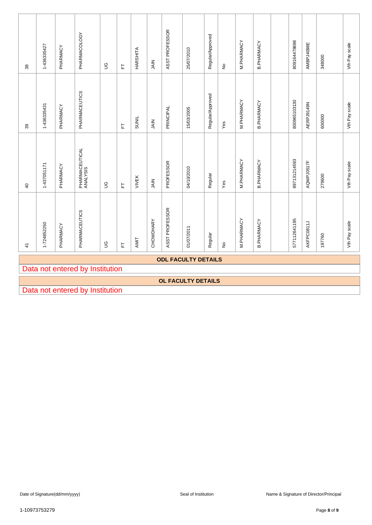| $38\,$         | 1-436335427 | PHARMACY                      | PHARMACOLOGY                    | $\mathbb S$ | $\overline{\mathbb{L}}$ | HARSHITA     | SIAIN       | ASST PROFESSOR | 25/07/2010                 | Regular/Approved | $\frac{\circ}{\sim}$        | M. PHARMACY | <b>B.PHARMACY</b> | 809164478698 | AMBPJ4098E | 348000                                 | Vth Pay scale |
|----------------|-------------|-------------------------------|---------------------------------|-------------|-------------------------|--------------|-------------|----------------|----------------------------|------------------|-----------------------------|-------------|-------------------|--------------|------------|----------------------------------------|---------------|
| $39$           | 1-436335431 | PHARMACY                      | PHARMACEUTICS                   |             | 匸                       | <b>SUNIL</b> | SAIN        | PRINCIPAL      | 15/03/2005                 | Regular/Approved | Yes                         | M.PHARMACY  | <b>B.PHARMACY</b> | 800965103130 | AERPJ9149N | 600000                                 | Vth Pay scale |
| $\overline{4}$ | 1-437051171 | PHARMACY                      | PHARMACEUTICAL<br>ANALYSIS      | $\mathbb S$ | L                       | <b>VIVEK</b> | <b>NIAL</b> | PROFESSOR      | 04/10/2010                 | Regular          | Yes                         | M.PHARMACY  | <b>B.PHARMACY</b> | 897131214593 | AQWPJ0517F | 279600                                 | Vth Pay scale |
|                | 1-724852250 | PHARMACY                      | PHARMACEUTICS                   | $\mathbb S$ | $\overline{\mathbb{L}}$ | AMIT         | CHOWDHARY   | ASST PROFESSOR | 01/07/2011                 | Regular          | $\stackrel{\circ}{\succeq}$ | M.PHARMACY  | <b>B.PHARMACY</b> | 577112641195 | AKFPC0811J | 197760                                 | Vth Pay scale |
| $\frac{1}{4}$  |             |                               |                                 |             |                         |              |             |                |                            |                  |                             |             |                   |              |            |                                        |               |
|                |             |                               |                                 |             |                         |              |             |                | <b>ODL FACULTY DETAILS</b> |                  |                             |             |                   |              |            |                                        |               |
|                |             |                               | Data not entered by Institution |             |                         |              |             |                | OL FACULTY DETAILS         |                  |                             |             |                   |              |            |                                        |               |
|                |             |                               | Data not entered by Institution |             |                         |              |             |                |                            |                  |                             |             |                   |              |            |                                        |               |
|                |             |                               |                                 |             |                         |              |             |                |                            |                  |                             |             |                   |              |            |                                        |               |
|                |             |                               |                                 |             |                         |              |             |                |                            |                  |                             |             |                   |              |            |                                        |               |
|                |             |                               |                                 |             |                         |              |             |                |                            |                  |                             |             |                   |              |            |                                        |               |
|                |             |                               |                                 |             |                         |              |             |                |                            |                  |                             |             |                   |              |            |                                        |               |
|                |             |                               |                                 |             |                         |              |             |                |                            |                  |                             |             |                   |              |            |                                        |               |
|                |             |                               |                                 |             |                         |              |             |                |                            |                  |                             |             |                   |              |            |                                        |               |
|                |             |                               |                                 |             |                         |              |             |                |                            |                  |                             |             |                   |              |            |                                        |               |
|                |             |                               |                                 |             |                         |              |             |                |                            |                  |                             |             |                   |              |            |                                        |               |
|                |             |                               |                                 |             |                         |              |             |                |                            |                  |                             |             |                   |              |            |                                        |               |
|                |             | Date of Signature(dd/mm/yyyy) |                                 |             |                         |              |             |                | Seal of Institution        |                  |                             |             |                   |              |            | Name & Signature of Director/Principal |               |